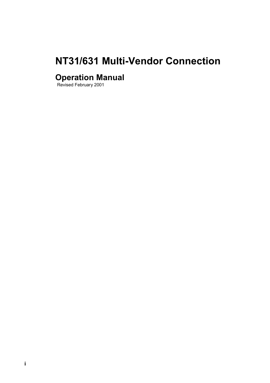# <span id="page-0-0"></span>**NT31/631 Multi-Vendor Connection**

# **Operation Manual**

Revised February 2001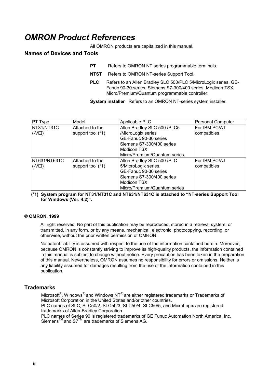# <span id="page-1-0"></span>*OMRON Product References*

All OMRON products are capitalized in this manual.

### **Names of Devices and Tools**

- **PT** Refers to OMRON NT series programmable terminals.
- **NTST** Refers to OMRON NT-series Support Tool.
- **PLC** Refers to an Allen Bradley SLC 500/PLC 5/MicroLogix series, GE-Fanuc 90-30 series, Siemens S7-300/400 series, Modicon TSX Micro/Premium/Quantum programmable controller.

**System installer** Refers to an OMRON NT-series system installer.

| <b>PT Type</b> | Model             | Applicable PLC                | <b>Personal Computer</b> |
|----------------|-------------------|-------------------------------|--------------------------|
| NT31/NT31C     | Attached to the   | Allen Bradley SLC 500 /PLC5   | For IBM PC/AT            |
| $($ -V $\Box)$ | support tool (*1) | /MicroLogix series            | compatibles              |
|                |                   | GE-Fanuc 90-30 series         |                          |
|                |                   | Siemens S7-300/400 series     |                          |
|                |                   | Modicon TSX                   |                          |
|                |                   | Micro/Premium/Quantum series. |                          |
| NT631/NT631C   | Attached to the   | Allen Bradley SLC 500 /PLC    | For IBM PC/AT            |
| $($ -V $\Box)$ | support tool (*1) | 5/MicroLogix series.          | compatibles              |
|                |                   | GE-Fanuc 90-30 series         |                          |
|                |                   | Siemens S7-300/400 series     |                          |
|                |                   | <b>Modicon TSX</b>            |                          |
|                |                   | Micro/Premium/Quantum series  |                          |

**(\*1) System program for NT31/NT31C and NT631/NT631C is attached to "NT-series Support Tool for Windows (Ver. 4.2)".**

#### **© OMRON, 1999**

All right reserved. No part of this publication may be reproduced, stored in a retrieval system, or transmitted, in any form, or by any means, mechanical, electronic, photocopying, recording, or otherwise, without the prior written permission of OMRON.

No patent liability is assumed with respect to the use of the information contained herein. Moreover, because OMRON is constantly striving to improve its high-quality products, the information contained in this manual is subject to change without notice. Every precaution has been taken in the preparation of this manual. Nevertheless, OMRON assumes no responsibility for errors or omissions. Neither is any liability assumed for damages resulting from the use of the information contained in this publication.

#### **Trademarks**

Microsoft<sup>R</sup>, Windows<sup>R</sup> and Windows NT<sup>R</sup> are either registered trademarks or Trademarks of Microsoft Corporation in the United States and/or other countries.

PLC names of SLC, SLC50/2, SLC50/3, SLC50/4, SLC50/5, and MicroLogix are registered trademarks of Allen-Bradley Corporation.

PLC names of Series 90 is registered trademarks of GE Funuc Automation North America, Inc. Siemens<sup>TM</sup> and  $S7^{\text{TM}}$  are trademarks of Siemens AG.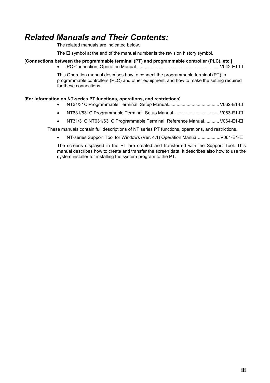# <span id="page-2-0"></span>*Related Manuals and Their Contents:*

The related manuals are indicated below.

The  $\Box$  symbol at the end of the manual number is the revision history symbol.

#### **[Connections between the programmable terminal (PT) and programmable controller (PLC), etc.]**

• PC Connection, Operation Manual .................................................................. V042-E1-

This Operation manual describes how to connect the programmable terminal (PT) to programmable controllers (PLC) and other equipment, and how to make the setting required for these connections.

#### **[For information on NT-series PT functions, operations, and restrictions]**

- NT31/31C Programmable Terminal Setup Manual......................................... V062-E1-
- NT631/631C Programmable Terminal Setup Manual .................................... V063-E1-
- NT31/31C,NT631/631C Programmable Terminal Reference Manual............ V064-E1-

These manuals contain full descriptions of NT series PT functions, operations, and restrictions.

• NT-series Support Tool for Windows (Ver. 4.1) Operation Manual..................V061-E1-

The screens displayed in the PT are created and transferred with the Support Tool. This manual describes how to create and transfer the screen data. It describes also how to use the system installer for installing the system program to the PT.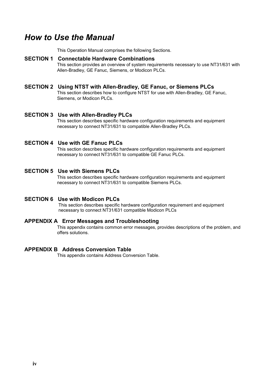# <span id="page-3-0"></span>*How to Use the Manual*

This Operation Manual comprises the following Sections.

#### **SECTION 1 Connectable Hardware Combinations**

This section provides an overview of system requirements necessary to use NT31/631 with Allen-Bradley, GE Fanuc, Siemens, or Modicon PLCs.

#### **SECTION 2 Using NTST with Allen-Bradley, GE Fanuc, or Siemens PLCs**

This section describes how to configure NTST for use with Allen-Bradley, GE Fanuc, Siemens, or Modicon PLCs.

#### **SECTION 3 Use with Allen-Bradley PLCs**

This section describes specific hardware configuration requirements and equipment necessary to connect NT31/631 to compatible Allen-Bradley PLCs.

#### **SECTION 4 Use with GE Fanuc PLCs**

This section describes specific hardware configuration requirements and equipment necessary to connect NT31/631 to compatible GE Fanuc PLCs.

#### **SECTION 5 Use with Siemens PLCs**

This section describes specific hardware configuration requirements and equipment necessary to connect NT31/631 to compatible Siemens PLCs.

#### **SECTION 6 Use with Modicon PLCs**

This section describes specific hardware configuration requirement and equipment necessary to connect NT31/631 compatible Modicon PLCs

#### **APPENDIX A Error Messages and Troubleshooting**

This appendix contains common error messages, provides descriptions of the problem, and offers solutions.

#### **APPENDIX B Address Conversion Table**

This appendix contains Address Conversion Table.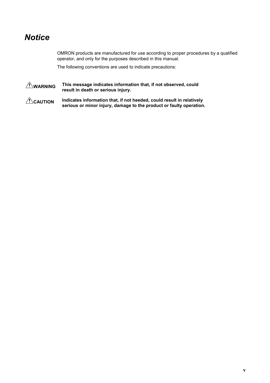# <span id="page-4-0"></span>*Notice*

OMRON products are manufactured for use according to proper procedures by a qualified operator, and only for the purposes described in this manual.

The following conventions are used to indicate precautions:

**WARNING** This message indicates information that, if not observed, could **result in death or serious injury.**

**CAUTION Indicates information that, if not heeded, could result in relatively serious or minor injury, damage to the product or faulty operation.**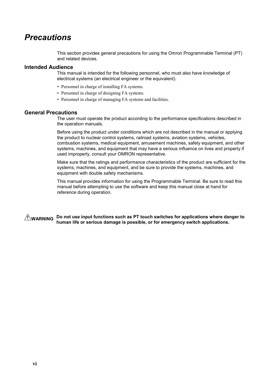# <span id="page-5-0"></span>*Precautions*

This section provides general precautions for using the Omron Programmable Terminal (PT) and related devices.

#### **Intended Audience**

This manual is intended for the following personnel, who must also have knowledge of electrical systems (an electrical engineer or the equivalent).

- Personnel in charge of installing FA systems.
- Personnel in charge of designing FA systems.
- Personnel in charge of managing FA systems and facilities.

#### **General Precautions**

The user must operate the product according to the performance specifications described in the operation manuals.

Before using the product under conditions which are not described in the manual or applying the product to nuclear control systems, railroad systems, aviation systems, vehicles, combustion systems, medical equipment, amusement machines, safety equipment, and other systems, machines, and equipment that may have a serious influence on lives and property if used improperly, consult your OMRON representative.

Make sure that the ratings and performance characteristics of the product are sufficient for the systems, machines, and equipment, and be sure to provide the systems, machines, and equipment with double safety mechanisms.

This manual provides information for using the Programmable Terminal. Be sure to read this manual before attempting to use the software and keep this manual close at hand for reference during operation.

**WARNING Do not use input functions such as PT touch switches for applications where danger to human life or serious damage is possible, or for emergency switch applications.**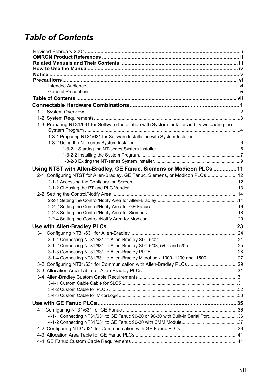# *Table of Contents*

| 1-3 Preparing NT31/631 for Software Installation with System Installer and Downloading the |  |
|--------------------------------------------------------------------------------------------|--|
|                                                                                            |  |
|                                                                                            |  |
|                                                                                            |  |
|                                                                                            |  |
|                                                                                            |  |
|                                                                                            |  |
| Using NTST with Allen-Bradley, GE Fanuc, Siemens or Modicon PLCs  11                       |  |
| 2-1 Configuring NTST for Allen-Bradley, GE Fanuc, Siemens, or Modicon PLCs 12              |  |
|                                                                                            |  |
|                                                                                            |  |
|                                                                                            |  |
|                                                                                            |  |
|                                                                                            |  |
|                                                                                            |  |
|                                                                                            |  |
|                                                                                            |  |
|                                                                                            |  |
|                                                                                            |  |
|                                                                                            |  |
|                                                                                            |  |
| 3-1-4 Connecting NT31/631 to Allen-Bradley MicroLogix 1000, 1200 and 150027                |  |
|                                                                                            |  |
|                                                                                            |  |
|                                                                                            |  |
|                                                                                            |  |
|                                                                                            |  |
|                                                                                            |  |
|                                                                                            |  |
|                                                                                            |  |
| 4-1-1 Connecting NT31/631 to GE Fanuc 90-20 or 90-30 with Built-in Serial Port36           |  |
|                                                                                            |  |
|                                                                                            |  |
|                                                                                            |  |
|                                                                                            |  |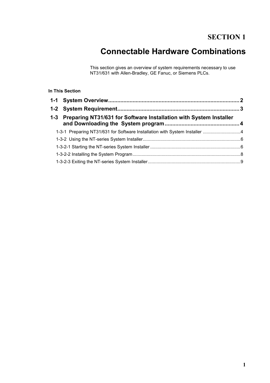# **SECTION 1**

# **Connectable Hardware Combinations**

This section gives an overview of system requirements necessary to use NT31/631 with Allen-Bradley, GE Fanuc, or Siemens PLCs.

#### <span id="page-8-0"></span> **In This Section**

| 1-3 Preparing NT31/631 for Software Installation with System Installer |  |
|------------------------------------------------------------------------|--|
|                                                                        |  |
|                                                                        |  |
|                                                                        |  |
|                                                                        |  |
|                                                                        |  |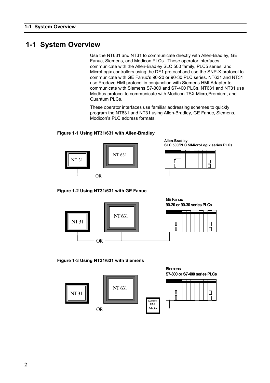## <span id="page-9-0"></span>**1-1 System Overview**

Use the NT631 and NT31 to communicate directly with Allen-Bradley, GE Fanuc, Siemens, and Modicon PLCs. These operator interfaces communicate with the Allen-Bradley SLC 500 family, PLC5 series, and MicroLogix controllers using the DF1 protocol and use the SNP-X protocol to communicate with GE Fanuc's 90-20 or 90-30 PLC series. NT631 and NT31 use Prodave HMI protocol in conjunction with Siemens HMI Adapter to communicate with Siemens S7-300 and S7-400 PLCs. NT631 and NT31 use Modbus protocol to communicate with Modicon TSX Micro,Premium, and Quantum PLCs.

These operator interfaces use familiar addressing schemes to quickly program the NT631 and NT31 using Allen-Bradley, GE Fanuc, Siemens, Modicon's PLC address formats.

#### **Figure 1-1 Using NT31/631 with Allen-Bradley**



**Figure 1-2 Using NT31/631 with GE Fanuc**



#### **Figure 1-3 Using NT31/631 with Siemens**

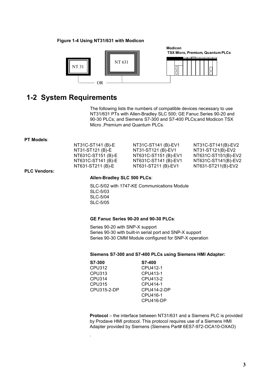#### <span id="page-10-0"></span>**Figure 1-4 Using NT31/631 with Modicon**



## **1-2 System Requirements**

The following lists the numbers of compatible devices necessary to use NT31/631 PTs with Allen-Bradley SLC 500; GE Fanuc Series 90-20 and 90-30 PLCs; and Siemens S7-300 and S7-400 PLCs;and Modicon TSX Micro ,Premium and Quantum PLCs.

#### **PT Models**:

| NT31C-ST141 (B)-E  | NT31C-ST141 (B)-EV1  | NT31C-ST141(B)-EV2  |
|--------------------|----------------------|---------------------|
| NT31-ST121 (B)-E   | NT31-ST121 (B)-EV1   | NT31-ST121(B)-EV2   |
| NT631C-ST151 (B)-E | NT631C-ST151 (B)-EV1 | NT631C-ST151(B)-EV2 |
| NT631C-ST141 (B)-E | NT631C-ST141 (B)-EV1 | NT631C-ST141(B)-EV2 |
| NT631-ST211 (B)-E  | NT631-ST211 (B)-EV1  | NT631-ST211(B)-EV2  |
|                    |                      |                     |

#### **PLC Vendors:**

#### **Allen-Bradley SLC 500 PLCs**:

SLC-5/02 with 1747-KE Communications Module SLC-5/03 SLC-5/04 SLC-5/05

#### **GE Fanuc Series 90-20 and 90-30 PLCs**:

Series 90-20 with SNP-X support Series 90-30 with built-in serial port and SNP-X support Series 90-30 CMM Module configured for SNP-X operation

#### **Siemens S7-300 and S7-400 PLCs using Siemens HMI Adapter:**

| S7-300      | S7-400      |
|-------------|-------------|
| CPU312      | CPU412-1    |
| CPU313      | CPU413-1    |
| CPU314      | CPU413-2    |
| CPU315      | CPU414-1    |
| CPU315-2-DP | CPU414-2-DP |
|             | CPU416-1    |
|             | CPU416-DP   |
|             |             |

.

**Protocol** – the interface between NT31/631 and a Siemens PLC is provided by Prodave HMI protocol. This protocol requires use of a Siemens HMI Adapter provided by Siemens (Siemens Part# 6ES7-972-OCA10-OXAO)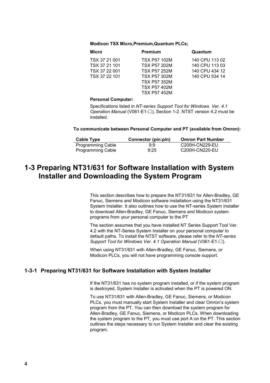#### <span id="page-11-0"></span>**Modicon TSX Micro,Premium,Quantum PLCs;**

| Micro         | <b>Premium</b>      | Quantum        |
|---------------|---------------------|----------------|
| TSX 37 21 001 | <b>TSX P57 102M</b> | 140 CPU 113 02 |
| TSX 37 21 101 | <b>TSX P57 202M</b> | 140 CPU 113 03 |
| TSX 37 22 001 | <b>TSX P57 252M</b> | 140 CPU 434 12 |
| TSX 37 22 101 | <b>TSX P57 302M</b> | 140 CPU 534 14 |
|               | <b>TSX P57 352M</b> |                |
|               | <b>TSX P57 402M</b> |                |
|               | <b>TSX P57 452M</b> |                |
|               |                     |                |

#### **Personal Computer:**

Specifications listed in *NT-series Support Tool for Windows Ver. 4.1 Operation Manual* (V061-E1- $\square$ ), Section 1-2. NTST version 4.2 must be installed.

#### **To communicate between Personal Computer and PT (available from Omron):**

| Cable Type               | Connector (pin:pin) | <b>Omron Part Number</b> |
|--------------------------|---------------------|--------------------------|
| <b>Programming Cable</b> | 9:9                 | C200H-CN229-EU           |
| <b>Programming Cable</b> | 9:25                | C200H-CN220-EU           |

# **1-3 Preparing NT31/631 for Software Installation with System Installer and Downloading the System Program**

This section describes how to prepare the NT31/631 for Allen-Bradley, GE Fanuc, Siemens and Modicon software installation using the NT31/631 System Installer. It also outlines how to use the NT-series System Installer to download Allen-Bradley, GE Fanuc, Siemens and Modicon system programs from your personal computer to the PT

The section assumes that you have installed NT Series Support Tool Ver. 4.2 with the NT-Series System Installer on your personal computer to default paths. To install the NTST software, please refer to the *NT-series Support Tool for Windows Ver. 4.1 Operation Manual* (∨061-E1-□).

When using NT31/631 with Allen-Bradley, GE Fanuc, Siemens, or Modicon PLCs, you will not have programming console support.

#### **1-3-1 Preparing NT31/631 for Software Installation with System Installer**

If the NT31/631 has no system program installed, or if the system program is destroyed, System Installer is activated when the PT is powered ON.

To use NT31/631 with Allen-Bradley, GE Fanuc, Siemens, or Modicon PLCs, you must manually start System Installer and clear Omron's system program from the PT. You can then download the system program for Allen-Bradley, GE Fanuc, Siemens, or Modicon PLCs. When downloading the system program to the PT, you must use port A on the PT. This section outlines the steps necessary to run System Installer and clear the existing program.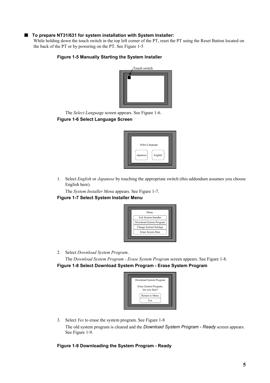#### Q **To prepare NT31/631 for system installation with System Installer:**

While holding down the touch switch in the top left corner of the PT, reset the PT using the Reset Button located on the back of the PT or by powering on the PT. See Figure 1-5

#### **Figure 1-5 Manually Starting the System Installer**



The *Select Langua*ge screen appears. See Figure 1-6. **Figure 1-6 Select Language Screen**



1. Select *English* or *Japanese* by touching the appropriate switch (this addendum assumes you choose English here).

The *System Installer Menu* appears. See Figure 1-7.

#### **Figure 1-7 Select System Installer Menu**



2. Select *Download System Program*.

The *Download System Program - Erase System Program* screen appears. See Figure 1-8.

**Figure 1-8 Select Download System Program - Erase System Program**

| Download System Program                |
|----------------------------------------|
| Erase System Program,<br>Are you Sure? |
| Return to Menu                         |
| Yes                                    |

3. Select *Yes* to erase the system program. See Figure 1-8 The old system program is cleared and the *Download System Program - Ready* screen appears. See Figure 1-9.

#### **Figure 1-9 Downloading the System Program - Ready**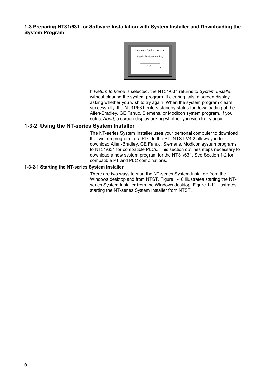#### <span id="page-13-0"></span>**1-3 Preparing NT31/631 for Software Installation with System Installer and Downloading the System Program**



If *Return to Menu* is selected, the NT31/631 returns to *System Installer* without clearing the system program. If clearing fails, a screen display asking whether you wish to try again. When the system program clears successfully, the NT31/631 enters standby status for downloading of the Allen-Bradley, GE Fanuc, Siemens, or Modicon system program. If you select *Abort*, a screen display asking whether you wish to try again.

#### **1-3-2 Using the NT-series System Installer**

The NT-series System Installer uses your personal computer to download the system program for a PLC to the PT. NTST V4.2 allows you to download Allen-Bradley, GE Fanuc, Siemens, Modicon system programs to NT31/631 for compatible PLCs. This section outlines steps necessary to download a new system program for the NT31/631. See Section 1-2 for compatible PT and PLC combinations.

#### **1-3-2-1 Starting the NT-series System Installer**

There are two ways to start the NT-series System Installer: from the Windows desktop and from NTST. Figure 1-10 illustrates starting the NTseries System Installer from the Windows desktop. Figure 1-11 illustrates starting the NT-series System Installer from NTST.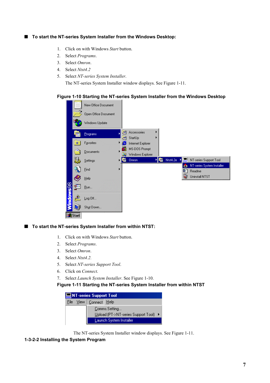#### <span id="page-14-0"></span>■ To start the NT-series System Installer from the Windows Desktop:

- 1. Click on with Windows *Start* button.
- 2. Select *Programs*.
- 3. Select *Omron*.
- 4. Select *Ntst4.2*
- 5. Select *NT-series System Installer*.

The NT-series System Installer window displays. See Figure 1-11.

#### **Figure 1-10 Starting the NT-series System Installer from the Windows Desktop**



■ To start the NT-series System Installer from within NTST:

- 1. Click on with Windows *Start* button.
- 2. Select *Programs*.
- 3. Select *Omron*.
- 4. Select *Ntst4.2.*
- 5. Select *NT-series Support Tool*.
- 6. Click on *Connect*.
- 7. Select *Launch System Installer*. See Figure 1-10.

**Figure 1-11 Starting the NT-series System Installer from within NTST**

| NT-series Support Tool |  |                                       |  |  |
|------------------------|--|---------------------------------------|--|--|
| File                   |  | View   Connect Help                   |  |  |
|                        |  | Comms.Setting                         |  |  |
|                        |  | Upload (PT->NT-series Support Tool) ▶ |  |  |
|                        |  | Launch System Installer               |  |  |

The NT-series System Installer window displays. See Figure 1-11.

#### **1-3-2-2 Installing the System Program**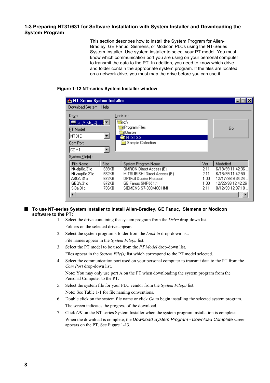#### **1-3 Preparing NT31/631 for Software Installation with System Installer and Downloading the System Program**

This section describes how to install the System Program for Allen-Bradley, GE Fanuc, Siemens, or Modicon PLCs using the NT-Series System Installer. Use system installer to select your PT model. You must know which communication port you are using on your personal computer to transmit the data to the PT. In addition, you need to know which drive and folder contain the appropriate system program. If the files are located on a network drive, you must map the drive before you can use it.

#### **NT Series System Installer x** - 100 Download System Help  $Dirive:$ <u>L</u>ook in : C [MIKE C] **lan**ic∖  $\overline{\phantom{a}}$ Program Files Go PT Model: Omron Імтз1с  $\vert \textbf{v} \vert$ **MINTST3.3** Sample Collection Com Port: COM1  $\vert \cdot \vert$ System **File**(s) : File Name Size System Program Name Ver Modefied Nt-alp0c.31c **698KB OMRON Direct Access (E)** 6/18/99 11:42:36. 2.11 6/18/99 11:42:50... Nt-amp0c.31c 662KB MITSUBISHI Direct Access (E)  $2.11$ AB0A.31c 672KB **DF1Full Duplex Protocol**  $1.00$ 12/17/98 9:34:24 .. 12/22/98 12:42:26 GE0A.31c 672KB GE Fanue SNP-X 1:1 1.00 Si0a.31c 706KB SIEMENS S7-300/400 HMI 8/12/99 12:07:18.  $2.11$  $\blacktriangleright$  $\blacksquare$

#### **Figure 1-12 NT-series System Installer window**

#### Q **To use NT-series System installer to install Allen-Bradley, GE Fanuc, Siemens or Modicon software to the PT:**

- 1. Select the drive containing the system program from the *Drive* drop-down list. Folders on the selected drive appear.
- 2. Select the system program's folder from the *Look in* drop-down list. File names appear in the *System File(s)* list.
- 3. Select the PT model to be used from the *PT Model* drop-down list. Files appear in the *System File(s)* list which correspond to the PT model selected.
- 4. Select the communication port used on your personal computer to transmit data to the PT from the *Com Port* drop-down list. Note: You may only use port A on the PT when downloading the system program from the Personal Computer to the PT.
- 5. Select the system file for your PLC vendor from the *System File(s)* list. Note: See Table 1-1 for file naming conventions.
- 6. Double click on the system file name or click *Go* to begin installing the selected system program. The screen indicates the progress of the download.
- 7. Click *OK* on the NT-series System Installer when the system program installation is complete. When the download is complete, the *Download System Program - Download Complete* screen appears on the PT. See Figure 1-13.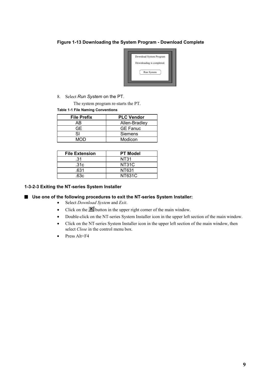#### <span id="page-16-0"></span>**Figure 1-13 Downloading the System Program - Download Complete**



8. Select Run System on the PT.

The system program re-starts the PT.

#### **Table 1-1 File Naming Conventions**

| <b>File Prefix</b> | <b>PLC Vendor</b> |
|--------------------|-------------------|
| AB                 | Allen-Bradley     |
| GE.                | <b>GE Fanuc</b>   |
| S١                 | <b>Siemens</b>    |
| MOD                | Modicon           |

| <b>File Extension</b> | <b>PT Model</b> |
|-----------------------|-----------------|
| .31                   | NT31            |
| .31c                  | NT31C           |
| .631                  | NT631           |
| 63c                   | NT631C          |

#### **1-3-2-3 Exiting the NT-series System Installer**

#### ■ Use one of the following procedures to exit the NT-series System Installer:

- Select *Download System* and *Exit*.
- Click on the  $\mathbf{\times}$  button in the upper right corner of the main window.
- Double-click on the NT-series System Installer icon in the upper left section of the main window.
- Click on the NT-series System Installer icon in the upper left section of the main window, then select *Close* in the control menu box.
- Press Alt+F4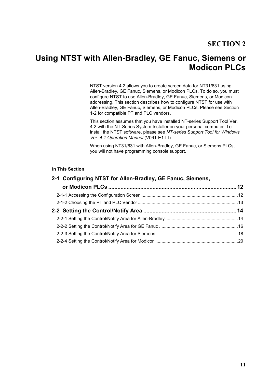# <span id="page-18-0"></span>**Using NTST with Allen-Bradley, GE Fanuc, Siemens or Modicon PLCs**

NTST version 4.2 allows you to create screen data for NT31/631 using Allen-Bradley, GE Fanuc, Siemens, or Modicon PLCs. To do so, you must configure NTST to use Allen-Bradley, GE Fanuc, Siemens, or Modicon addressing. This section describes how to configure NTST for use with Allen-Bradley, GE Fanuc, Siemens, or Modicon PLCs. Please see Section 1-2 for compatible PT and PLC vendors.

This section assumes that you have installed NT-series Support Tool Ver. 4.2 with the NT-Series System Installer on your personal computer. To install the NTST software, please see *NT-series Support Tool for Windows Ver. 4.1 Operation Manual* (V061-E1- $\Box$ ).

When using NT31/631 with Allen-Bradley, GE Fanuc, or Siemens PLCs, you will not have programming console support.

#### **In This Section**

| 2-1 Configuring NTST for Allen-Bradley, GE Fanuc, Siemens, |  |
|------------------------------------------------------------|--|
|                                                            |  |
|                                                            |  |
|                                                            |  |
|                                                            |  |
|                                                            |  |
|                                                            |  |
|                                                            |  |
|                                                            |  |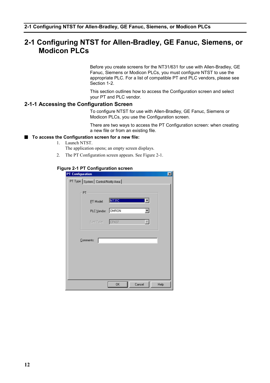# <span id="page-19-0"></span>**2-1 Configuring NTST for Allen-Bradley, GE Fanuc, Siemens, or Modicon PLCs**

Before you create screens for the NT31/631 for use with Allen-Bradley, GE Fanuc, Siemens or Modicon PLCs, you must configure NTST to use the appropriate PLC. For a list of compatible PT and PLC vendors, please see Section 1-2.

This section outlines how to access the Configuration screen and select your PT and PLC vendor.

#### **2-1-1 Accessing the Configuration Screen**

To configure NTST for use with Allen-Bradley, GE Fanuc, Siemens or Modicon PLCs, you use the Configuration screen.

There are two ways to access the PT Configuration screen: when creating a new file or from an existing file.

#### ■ To access the Configuration screen for a new file:

- 1. Launch NTST.
	- The application opens; an empty screen displays.
- 2. The PT Configuration screen appears. See Figure 2-1.

#### **Figure 2-1 PT Configuration screen**

| <b>PT Configuration</b> |                                      |              |        | $\mathbf{x}$ |
|-------------------------|--------------------------------------|--------------|--------|--------------|
|                         | PT Type System   Control/Notify Area |              |        |              |
|                         | PT                                   |              |        |              |
|                         | PT Model:                            | <b>NTSIC</b> |        |              |
|                         | PLC Vendor: OMRON                    |              |        |              |
|                         | Font Type:                           | CP437        |        |              |
|                         |                                      |              |        |              |
|                         | Comments:                            |              |        |              |
|                         |                                      |              |        |              |
|                         |                                      |              |        |              |
|                         |                                      |              |        |              |
|                         |                                      |              |        |              |
|                         |                                      | OK           | Cancel | Help         |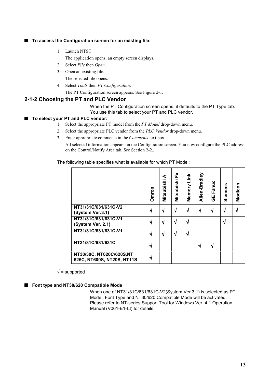#### <span id="page-20-0"></span>■ To access the Configuration screen for an existing file:

1. Launch NTST.

The application opens; an empty screen displays.

- 2. Select *File* then *Open*.
- 3. Open an existing file.
- The selected file opens.
- 4. Select *Tools* then *PT Configuration*. The PT Configuration screen appears. See Figure 2-1.

#### **2-1-2 Choosing the PT and PLC Vendor**

When the PT Configuration screen opens, it defaults to the PT Type tab. You use this tab to select your PT and PLC vendor.

#### ■ To select your PT and PLC vendor:

- 1. Select the appropriate PT model from the *PT Model* drop-down menu.
- 2. Select the appropriate PLC vendor from the *PLC Vendor* drop-down menu.
- 3. Enter appropriate comments in the *Comments* text box.

All selected information appears on the Configuration screen. You now configure the PLC address on the Control/Notify Area tab. See Section 2-2..

The following table specifies what is available for which PT Model:

|                                                         | Omron | Mitsubishi A | ř<br>Mitsubishi | Link<br>Memory | Allen-Bradley | Fanuc<br>ш<br>ღ | Siemens | Modicon |
|---------------------------------------------------------|-------|--------------|-----------------|----------------|---------------|-----------------|---------|---------|
| NT31/31C/631/631C-V2<br>(System Ver.3.1)                | √     |              | N               | √              | √             | ึง              | N       |         |
| NT31/31C/631/631C-V1<br>(System Ver. 2.1)               | √     |              | ٦Ι              |                |               |                 | N       |         |
| NT31/31C/631/631C-V1                                    | √     |              | $\mathbf{A}$    |                |               |                 |         |         |
| NT31/31C/631/631C                                       | √     |              |                 |                |               | ٦J              |         |         |
| NT30/30C, NT620C/620S, NT<br>625C, NT600S, NT20S, NT11S |       |              |                 |                |               |                 |         |         |

 $\sqrt{}$  = supported

#### ■ Font type and NT30/620 Compatible Mode

When one of NT31/31C/631/631C-V2(System Ver.3.1) is selected as PT Model, Font Type and NT30/620 Compatible Mode will be activated. Please refer to NT-series Support Tool for Windows Ver. 4.1 Operation Manual (V061-E1- $\square$ ) for details.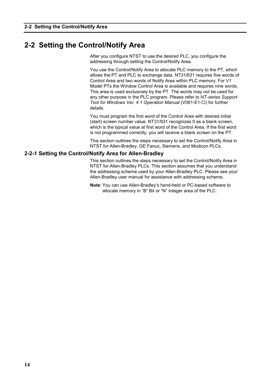# <span id="page-21-0"></span>**2-2 Setting the Control/Notify Area**

After you configure NTST to use the desired PLC, you configure the addressing through setting the Control/Notify Area.

You use the Control/Notify Area to allocate PLC memory to the PT, which allows the PT and PLC to exchange data. NT31/631 requires five words of Control Area and two words of Notify Area within PLC memory. For V1 Model PTs the Window Control Area is available and requires nine words. This area is used exclusively by the PT. The words may not be used for any other purpose in the PLC program. Please refer to *NT-series Support Tool for Windows Ver. 4.1 Operation Manual* (V061-E1-□) for further details.

You must program the first word of the Control Area with desired initial (start) screen number value. NT31/631 recognizes 0 as a blank screen, which is the typical value at first word of the Control Area. If the first word is not programmed correctly, you will receive a blank screen on the PT.

This section outlines the steps necessary to set the Control/Notify Area in NTST for Allen-Bradley, GE Fanuc, Siemens, and Modicon PLCs.

#### **2-2-1 Setting the Control/Notify Area for Allen-Bradley**

This section outlines the steps necessary to set the Control/Notify Area in NTST for Allen-Bradley PLCs. This section assumes that you understand the addressing scheme used by your Allen-Bradley PLC. Please see your Allen-Bradley user manual for assistance with addressing scheme.

**Note***:* You can use Allen-Bradley's hand-held or PC-based software to allocate memory in "B" Bit or "N" Integer area of the PLC.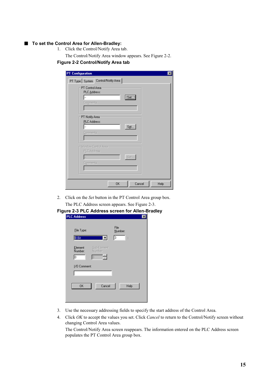#### ■ To set the Control Area for Allen-Bradley:

1. Click the Control/Notify Area tab.

The Control/Notify Area window appears. See Figure 2-2.

#### **Figure 2-2 Control/Notify Area tab**

| <b>PT Configuration</b>            | $\vert x \vert$             |
|------------------------------------|-----------------------------|
| PT Type System Control/Notify Area |                             |
| PT Control Area<br>PLC Address:    |                             |
|                                    | [Set]                       |
| Comments:                          |                             |
|                                    |                             |
| PT Notify Area:                    |                             |
| PLC Address:                       | Set                         |
| Comments:                          |                             |
|                                    |                             |
| Window Control Area-               |                             |
| PLC Address:                       |                             |
|                                    | Set                         |
| Comments:                          |                             |
|                                    |                             |
|                                    |                             |
|                                    | Cancel<br><b>OK</b><br>Help |

2. Click on the *Set* button in the PT Control Area group box. The PLC Address screen appears. See Figure 2-3.

| Figure 2-3 PLC Address screen for Allen-Bradley | .                      |                 |
|-------------------------------------------------|------------------------|-----------------|
| <b>PLC Address</b>                              |                        | $\vert x \vert$ |
| Eile Type:<br><b>B.Bit</b>                      | File<br>Number:<br>3   |                 |
| Element<br>Number:                              | Sub-Element<br>Number: |                 |
| Iо<br>0<br>1/0 Comment:                         |                        |                 |
| OΚ                                              | Cancel                 | Help            |

- 3. Use the necessary addressing fields to specify the start address of the Control Area.
- 4. Click *OK* to accept the values you set. Click *Cancel* to return to the Control/Notify screen without changing Control Area values.

The Control/Notify Area screen reappears. The information entered on the PLC Address screen populates the PT Control Area group box.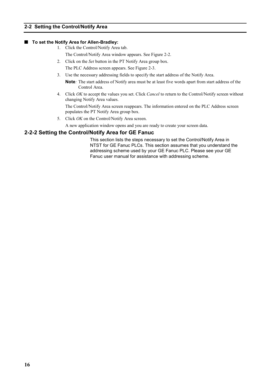#### <span id="page-23-0"></span>**2-2 Setting the Control/Notify Area**

#### ■ To set the Notify Area for Allen-Bradley:

- 1. Click the Control/Notify Area tab.
	- The Control/Notify Area window appears. See Figure 2-2.
- 2. Click on the *Set* button in the PT Notify Area group box. The PLC Address screen appears. See Figure 2-3.
- 3. Use the necessary addressing fields to specify the start address of the Notify Area.

**Note***:* The start address of Notify area must be at least five words apart from start address of the Control Area.

4. Click *OK* to accept the values you set. Click *Cancel* to return to the Control/Notify screen without changing Notify Area values.

The Control/Notify Area screen reappears. The information entered on the PLC Address screen populates the PT Notify Area group box.

- 5. Click *OK* on the Control/Notify Area screen.
- A new application window opens and you are ready to create your screen data.

#### **2-2-2 Setting the Control/Notify Area for GE Fanuc**

This section lists the steps necessary to set the Control/Notify Area in NTST for GE Fanuc PLCs. This section assumes that you understand the addressing scheme used by your GE Fanuc PLC. Please see your GE Fanuc user manual for assistance with addressing scheme.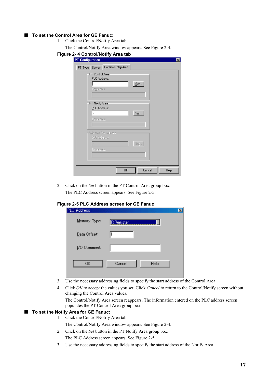#### ■ To set the Control Area for GE Fanuc:

- 1. Click the Control/Notify Area tab.
	- The Control/Notify Area window appears. See Figure 2-4.

| Figure 2-4 Control/Notify Area tab<br><b>PT Configuration</b>                 |      |
|-------------------------------------------------------------------------------|------|
| PT Type System Control/Notify Area                                            |      |
| PT Control Area<br>PLC Address:<br>${\underline{\mathsf{Set}}}.$<br>Comments: |      |
| PT Notify Area:<br>PLC Address:<br>$S_{\underline{\bm{e}}}$ t<br>Comments:    |      |
| - Window Control Area-<br>PLC Address:<br>Set                                 |      |
| Comments:<br>0K<br>Cancel                                                     | Help |

2. Click on the *Set* button in the PT Control Area group box. The PLC Address screen appears. See Figure 2-5.

#### **Figure 2-5 PLC Address screen for GE Fanuc**

| PLC Address  |                   | $\times$ |
|--------------|-------------------|----------|
| Memory Type: | <b>R</b> Register |          |
| Data Offset: |                   |          |
| I/O Comment: |                   |          |
| ОK           | Cancel<br>Help    |          |

- 3. Use the necessary addressing fields to specify the start address of the Control Area.
- 4. Click *OK* to accept the values you set. Click *Cancel* to return to the Control/Notify screen without changing the Control Area values.

The Control/Notify Area screen reappears. The information entered on the PLC address screen populates the PT Control Area group box.

#### ■ To set the Notify Area for GE Fanuc:

1. Click the Control/Notify Area tab.

The Control/Notify Area window appears. See Figure 2-4.

- 2. Click on the *Set* button in the PT Notify Area group box.
	- The PLC Address screen appears. See Figure 2-5.
- 3. Use the necessary addressing fields to specify the start address of the Notify Area.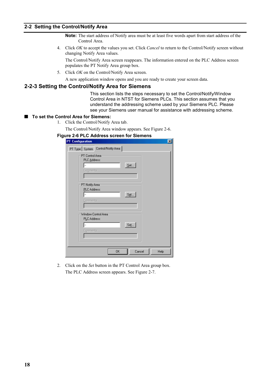#### <span id="page-25-0"></span>**2-2 Setting the Control/Notify Area**

- **Note:** The start address of Notify area must be at least five words apart from start address of the Control Area.
- 4. Click *OK* to accept the values you set. Click *Cancel* to return to the Control/Notify screen without changing Notify Area values.

The Control/Notify Area screen reappears. The information entered on the PLC Address screen populates the PT Notify Area group box.

- 5. Click *OK* on the Control/Notify Area screen.
- A new application window opens and you are ready to create your screen data.

#### **2-2-3 Setting the Control/Notify Area for Siemens**

This section lists the steps necessary to set the Control/Notify/Window Control Area in NTST for Siemens PLCs. This section assumes that you understand the addressing scheme used by your Siemens PLC. Please see your Siemens user manual for assistance with addressing scheme.

#### ■ To set the Control Area for Siemens:

1. Click the Control/Notify Area tab.

The Control/Notify Area window appears. See Figure 2-6.

#### **Figure 2-6 PLC Address screen for Siemens**

| <b>PT Configuration</b>              | $\vert x \vert$ |
|--------------------------------------|-----------------|
| PT Type   System Control/Notify Area |                 |
| PT Control Area<br>PLC Address:      |                 |
| Comments:                            | Set             |
|                                      |                 |
| PT Notify Area:                      |                 |
| PLC Address:                         | Set             |
| Comments:                            |                 |
| Window Control Area                  |                 |
| PLC Address:                         | Set             |
| Comments:                            |                 |
|                                      |                 |
|                                      |                 |
| <b>OK</b>                            | Cancel<br>Help  |

2. Click on the *Set* button in the PT Control Area group box. The PLC Address screen appears. See Figure 2-7.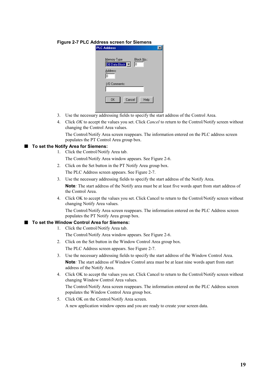#### **Figure 2-7 PLC Address screen for Siemens**

| <b>PLC Address</b>                               |                  |
|--------------------------------------------------|------------------|
| Memory Type<br>DB:Data Block V<br>Address:<br>Iо | Block No.:<br>Iо |
| 1/0 Comments:                                    |                  |
| Cancel<br><b>OK</b>                              | Help             |

- 3. Use the necessary addressing fields to specify the start address of the Control Area.
- 4. Click *OK* to accept the values you set. Click *Cancel* to return to the Control/Notify screen without changing the Control Area values.

The Control/Notify Area screen reappears. The information entered on the PLC address screen populates the PT Control Area group box.

#### ■ To set the Notify Area for Siemens:

- 1. Click the Control/Notify Area tab.
	- The Control/Notify Area window appears. See Figure 2-6.
- 2. Click on the Set button in the PT Notify Area group box. The PLC Address screen appears. See Figure 2-7.
- 3. Use the necessary addressing fields to specify the start address of the Notify Area.

**Note***:* The start address of the Notify area must be at least five words apart from start address of the Control Area.

4. Click OK to accept the values you set. Click Cancel to return to the Control/Notify screen without changing Notify Area values.

The Control/Notify Area screen reappears. The information entered on the PLC Address screen populates the PT Notify Area group box.

#### ■ To set the Window Control Area for Siemens:

1. Click the Control/Notify Area tab.

The Control/Notify Area window appears. See Figure 2-6.

- 2. Click on the Set button in the Window Control Area group box. The PLC Address screen appears. See Figure 2-7.
- 3. Use the necessary addressing fields to specify the start address of the Window Control Area. **Note***:* The start address of Window Control area must be at least nine words apart from start address of the Notify Area.
- 4. Click OK to accept the values you set. Click Cancel to return to the Control/Notify screen without changing Window Control Area values.

The Control/Notify Area screen reappears. The information entered on the PLC Address screen populates the Window Control Area group box.

5. Click OK on the Control/Notify Area screen.

A new application window opens and you are ready to create your screen data.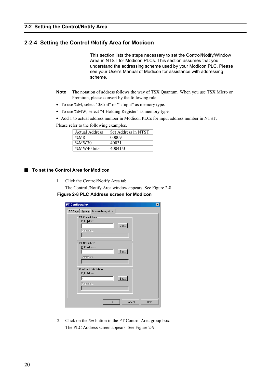### <span id="page-27-0"></span>**2-2-4 Setting the Control /Notify Area for Modicon**

This section lists the steps necessary to set the Control/Notify/Window Area in NTST for Modicon PLCs. This section assumes that you understand the addressing scheme used by your Modicon PLC. Please see your User's Manual of Modicon for assistance with addressing scheme.

- **Note** The notation of address follows the way of TSX Quantum. When you use TSX Micro or Premium, please convert by the following rule.
- To use %M, select "0:Coil" or "1:Input" as memory type.
- To use %MW, select "4:Holding Register" as memory type.

• Add 1 to actual address number in Modicon PLCs for input address number in NTST.

Please refer to the following examples.

| <b>Actual Address</b> | Set Address in NTST |
|-----------------------|---------------------|
| $\%M8$                | 00009               |
| $\%MW30$              | 40031               |
| %MW40 bit3            | 40041/3             |

■ To set the Control Area for Modicon

1. Click the Control/Notify Area tab

The Control /Notify Area window appears, See Figure 2-8 **Figure 2-8 PLC Address screen for Modicon**

| <b>PT Configuration</b><br>$\vert x \vert$              |
|---------------------------------------------------------|
| PT Type System Control/Notify Area                      |
| PT Control Area<br>PLC Address:<br>Set<br>Comments:     |
| PT Notify Area<br>PLC Address:<br>Sgt<br>Comments:      |
| Window Control Area<br>PLC Address:<br>Set<br>Comments: |
| <b>OK</b><br>Cancel<br>Help                             |

2. Click on the *Set* button in the PT Control Area group box. The PLC Address screen appears. See Figure 2-9.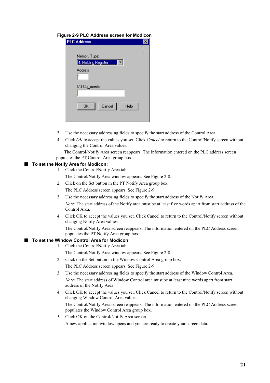#### **Figure 2-9 PLC Address screen for Modicon**

| <b>PLC Address</b>     |  |
|------------------------|--|
|                        |  |
| Memory Type:           |  |
| 4: Holding Register    |  |
|                        |  |
| Address:               |  |
|                        |  |
|                        |  |
| 1/0 Co <u>m</u> ments: |  |
|                        |  |
|                        |  |
| OK<br>Cancel<br>Help   |  |
|                        |  |
|                        |  |

- 3. Use the necessary addressing fields to specify the start address of the Control Area.
- 4. Click *OK* to accept the values you set. Click *Cancel* to return to the Control/Notify screen without changing the Control Area values.

 The Control/Notify Area screen reappears. The information entered on the PLC address screen populates the PT Control Area group box.

#### ■ To set the Notify Area for Modicon:

1. Click the Control/Notify Area tab.

The Control/Notify Area window appears. See Figure 2-8.

- 2. Click on the Set button in the PT Notify Area group box. The PLC Address screen appears. See Figure 2-9.
- 3. Use the necessary addressing fields to specify the start address of the Notify Area. *Note:* The start address of the Notify area must be at least five words apart from start address of the Control Area.
- 4. Click OK to accept the values you set. Click Cancel to return to the Control/Notify screen without changing Notify Area values.

The Control/Notify Area screen reappears. The information entered on the PLC Address screen populates the PT Notify Area group box.

#### ■ To set the Window Control Area for Modicon:

1. Click the Control/Notify Area tab.

The Control/Notify Area window appears. See Figure 2-8.

2. Click on the Set button in the Window Control Area group box.

The PLC Address screen appears. See Figure 2-9.

- 3. Use the necessary addressing fields to specify the start address of the Window Control Area. *Note:* The start address of Window Control area must be at least nine words apart from start address of the Notify Area.
- 4. Click OK to accept the values you set. Click Cancel to return to the Control/Notify screen without changing Window Control Area values. The Control/Notify Area screen reappears. The information entered on the PLC Address screen
- populates the Window Control Area group box. 5. Click OK on the Control/Notify Area screen.

A new application window opens and you are ready to create your screen data.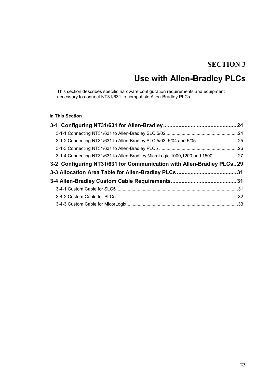# **SECTION 3**

# **Use with Allen-Bradley PLCs**

<span id="page-30-0"></span>This section describes specific hardware configuration requirements and equipment necessary to connect NT31/631 to compatible Allen-Bradley PLCs.

#### **In This Section**

| 3-1-2 Connecting NT31/631 to Allen-Bradley SLC 5/03, 5/04 and 5/05 25       |  |
|-----------------------------------------------------------------------------|--|
|                                                                             |  |
| 3-1-4 Connecting NT31/631 to Allen-Bradlley MicroLogic 1000,1200 and 150027 |  |
| 3-2 Configuring NT31/631 for Communication with Allen-Bradley PLCs29        |  |
|                                                                             |  |
|                                                                             |  |
|                                                                             |  |
|                                                                             |  |
|                                                                             |  |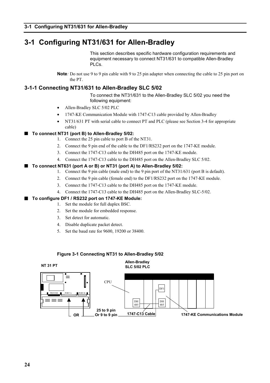# <span id="page-31-0"></span>**3-1 Configuring NT31/631 for Allen-Bradley**

This section describes specific hardware configuration requirements and equipment necessary to connect NT31/631 to compatible Allen-Bradley PLCs.

**Note***:* Do not use 9 to 9 pin cable with 9 to 25 pin adapter when connecting the cable to 25 pin port on the PT.

#### **3-1-1 Connecting NT31/631 to Allen-Bradley SLC 5/02**

To connect the NT31/631 to the Allen-Bradley SLC 5/02 you need the following equipment:

- Allen-Bradley SLC 5/02 PLC
- 1747-KE Communication Module with 1747-C13 cable provided by Allen-Bradley
- NT31/631 PT with serial cable to connect PT and PLC (please see Section 3-4 for appropriate cable)

#### Q **To connect NT31 (port B) to Allen-Bradley 5/02:**

- 1. Connect the 25 pin cable to port B of the NT31.
- 2. Connect the 9 pin end of the cable to the DF1/RS232 port on the 1747-KE module.
- 3. Connect the 1747-C13 cable to the DH485 port on the 1747-KE module.
- 4. Connect the 1747-C13 cable to the DH485 port on the Allen-Bradley SLC 5/02.

#### ■ To connect NT631 (port A or B) or NT31 (port A) to Allen-Bradley 5/02:

- 1. Connect the 9 pin cable (male end) to the 9 pin port of the NT31/631 (port B is default).
- 2. Connect the 9 pin cable (female end) to the DF1/RS232 port on the 1747-KE module.
- 3. Connect the 1747-C13 cable to the DH485 port on the 1747-KE module.
- 4. Connect the 1747-C13 cable to the DH485 port on the Allen-Bradley SLC-5/02.

#### ■ To configure DF1 / RS232 port on 1747-KE Module:

- 1. Set the module for full duplex BSC.
- 2. Set the module for embedded response.
- 3. Set detect for automatic.
- 4. Disable duplicate packet detect.
- 5. Set the baud rate for 9600, 19200 or 38400.



#### **Figure 3-1 Connecting NT31 to Allen-Bradley 5/02**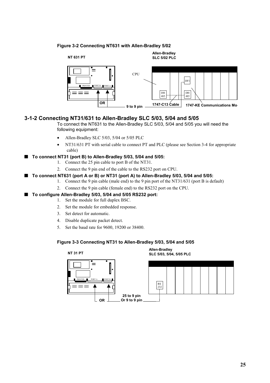#### <span id="page-32-0"></span>**Figure 3-2 Connecting NT631 with Allen-Bradley 5/02**



#### **3-1-2 Connecting NT31/631 to Allen-Bradley SLC 5/03, 5/04 and 5/05**

To connect the NT631 to the Allen-Bradley SLC 5/03, 5/04 and 5/05 you will need the following equipment:

- Allen-Bradley SLC 5/03, 5/04 or 5/05 PLC
- NT31/631 PT with serial cable to connect PT and PLC (please see Section 3-4 for appropriate cable)

#### ■ To connect NT31 (port B) to Allen-Bradley 5/03, 5/04 and 5/05:

- 1. Connect the 25 pin cable to port B of the NT31.
- 2. Connect the 9 pin end of the cable to the RS232 port on CPU.

#### ■ To connect NT631 (port A or B) or NT31 (port A) to Allen-Bradley 5/03, 5/04 and 5/05:

- 1. Connect the 9 pin cable (male end) to the 9 pin port of the NT31/631 (port B is default)
	- 2. Connect the 9 pin cable (female end) to the RS232 port on the CPU.

#### ■ To configure Allen-Bradley 5/03, 5/04 and 5/05 RS232 port:

- 1. Set the module for full duplex BSC.
- 2. Set the module for embedded response.
- 3. Set detect for automatic.
- 4. Disable duplicate packet detect.
- 5. Set the baud rate for 9600, 19200 or 38400.

#### **Figure 3-3 Connecting NT31 to Allen-Bradley 5/03, 5/04 and 5/05**

**Allen-Bradley NT 31 PT SLC 5/03, 5/04, 5/05 PLC**

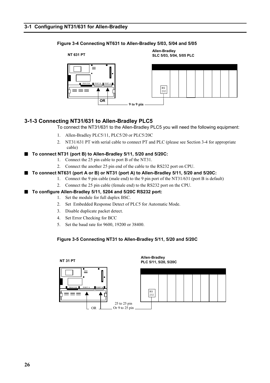#### <span id="page-33-0"></span>**Figure 3-4 Connecting NT631 to Allen-Bradley 5/03, 5/04 and 5/05**



#### **3-1-3 Connecting NT31/631 to Allen-Bradley PLC5**

To connect the NT31/631 to the Allen-Bradley PLC5 you will need the following equipment:

- 1. Allen-Bradley PLC5/11, PLC5/20 or PLC5/20C
- 2. NT31/631 PT with serial cable to connect PT and PLC (please see Section 3-4 for appropriate cable)
- Q **To connect NT31 (port B) to Allen-Bradley 5/11, 5/20 and 5/20C:**
	- 1. Connect the 25 pin cable to port B of the NT31.
	- 2. Connect the another 25 pin end of the cable to the RS232 port on CPU.

#### ■ To connect NT631 (port A or B) or NT31 (port A) to Allen-Bradley 5/11, 5/20 and 5/20C:

1. Connect the 9 pin cable (male end) to the 9 pin port of the NT31/631 (port B is default)

**Allen-Bradley**

2. Connect the 25 pin cable (female end) to the RS232 port on the CPU.

#### ■ To configure Allen-Bradley 5/11, 5204 and 5/20C RS232 port:

- 1. Set the module for full duplex BSC.
- 2. Set Embedded Response Detect of PLC5 for Automatic Mode.
- 3. Disable duplicate packet detect.
- 4. Set Error Checking for BCC
- 5. Set the baud rate for 9600, 19200 or 38400.

#### **Figure 3-5 Connecting NT31 to Allen-Bradley 5/11, 5/20 and 5/20C**



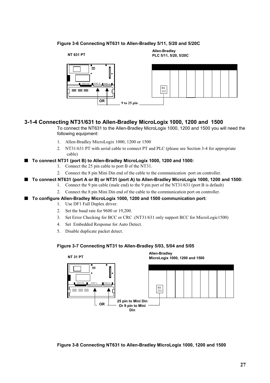#### <span id="page-34-0"></span>**Figure 3-6 Connecting NT631 to Allen-Bradley 5/11, 5/20 and 5/20C**



**Allen-Bradley NT 631 PT PLC 5/11, 5/20, 5/20C**



#### **3-1-4 Connecting NT31/631 to Allen-Bradley MicroLogix 1000, 1200 and 1500**

To connect the NT631 to the Allen-Bradley MicroLogix 1000, 1200 and 1500 you will need the following equipment:

- 1. Allen-Bradley MicroLogix 1000, 1200 or 1500
- 2. NT31/631 PT with serial cable to connect PT and PLC (please see Section 3-4 for appropriate cable)
- Q **To connect NT31 (port B) to Allen-Bradley MicroLogix 1000, 1200 and 1500:**
	- 1. Connect the 25 pin cable to port B of the NT31.
	- 2. Connect the 8 pin Mini Din end of the cable to the communication port on controller.

#### Q **To connect NT631 (port A or B) or NT31 (port A) to Allen-Bradley MicroLogix 1000, 1200 and 1500:**

- 1. Connect the 9 pin cable (male end) to the 9 pin port of the NT31/631 (port B is default)
- 2. Connect the 8 pin Mini Din end of the cable to the communication port on controller.
- Q **To configure Allen-Bradley MicroLogix 1000, 1200 and 1500 communication port:**
	- 1. Use DF1 Full Duplex driver.
		- 2. Set the baud rate for 9600 or 19,200.
		- 3. Set Error Checking for BCC or CRC .(NT31/631 only support BCC for MicroLogic1500)
		- 4. Set Embedded Response for Auto Detect.
		- 5. Disable duplicate packet detect.

#### **Figure 3-7 Connecting NT31 to Allen-Bradley 5/03, 5/04 and 5/05**



**Figure 3-8 Connecting NT631 to Allen-Bradley MicroLogix 1000, 1200 and 1500**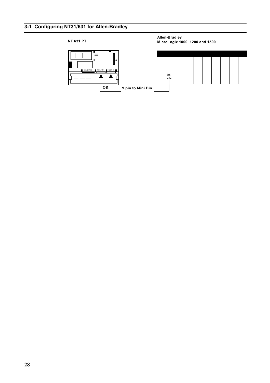### **3-1 Configuring NT31/631 for Allen-Bradley**

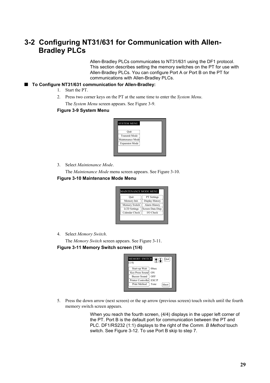### **3-2 Configuring NT31/631 for Communication with Allen-Bradley PLCs**

Allen-Bradley PLCs communicates to NT31/631 using the DF1 protocol. This section describes setting the memory switches on the PT for use with Allen-Bradley PLCs. You can configure Port A or Port B on the PT for communications with Allen-Bradley PLCs.

#### ■ To Configure NT31/631 communication for Allen-Bradley:

- 1. Start the PT.
- 2. Press two corner keys on the PT at the same time to enter the *System Menu*. The *System Menu* screen appears. See Figure 3-9.

#### **Figure 3-9 System Menu**

| <b>SYSTEM MENU</b>    |  |  |
|-----------------------|--|--|
| Ouit                  |  |  |
| <b>Transmit Mode</b>  |  |  |
| Maintenance Mode      |  |  |
| <b>Expansion Mode</b> |  |  |
|                       |  |  |

3. Select *Maintenance Mode*.

The *Maintenance Mode* menu screen appears. See Figure 3-10.

#### **Figure 3-10 Maintenance Mode Menu**

| Ouit                | PT Settings       |
|---------------------|-------------------|
| Memory Init.        | Display History   |
| Memory Switch       | Alarm History     |
| <b>LCD</b> Settings | Screen Data Disp. |
| Calendar Check      | I/O Check         |

4. Select *Memory Switch*.

The *Memory Switch* screen appears. See Figure 3-11. **Figure 3-11 Memory Switch screen (1/4)**



5. Press the down arrow (next screen) or the up arrow (previous screen) touch switch until the fourth memory switch screen appears.

> When you reach the fourth screen, (4/4) displays in the upper left corner of the PT. Port B is the default port for communication between the PT and PLC. DF1/RS232 (1:1) displays to the right of the *Comm. B Method* touch switch. See Figure 3-12. To use Port B skip to step 7.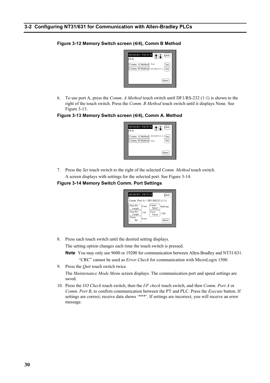#### **3-2 Configuring NT31/631 for Communication with Allen-Bradley PLCs**

#### **Figure 3-12 Memory Switch screen (4/4), Comm B Method**



6. To use port A, press the *Comm. A Method* touch switch until DF1/RS-232 (1:1) is shown to the right of the touch switch. Press the *Comm. B Method* touch switch until it displays None. See Figure 3-13.

#### **Figure 3-13 Memory Switch screen (4/4), Comm A. Method**



7. Press the *Set* touch switch to the right of the selected *Comm. Method* touch switch. A screen displays with settings for the selected port. See Figure 3-14.

#### **Figure 3-14 Memory Switch Comm. Port Settings**



8. Press each touch switch until the desired setting displays.

The setting option changes each time the touch switch is pressed.

**Note** You may only use 9600 or 19200 for communication between Allen-Bradley and NT31/631.

"CRC" cannot be used as *Error Check* for communication with MicroLogix 1500.

9. Press the *Quit* touch switch twice.

The *Maintenance Mode Menu* screen displays. The communication port and speed settings are saved.

10. Press the *I/O Check* touch switch, then the *I/F check* touch switch, and then *Comm. Port A* or *Comm. Port B*, to confirm communication between the PT and PLC. Press the *Execute* button. If settings are correct, receive data shows '\*\*\*'. If settings are incorrect, you will receive an error message.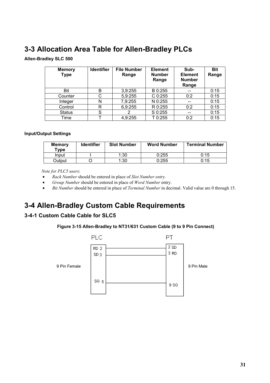### **3-3 Allocation Area Table for Allen-Bradley PLCs**

**Allen-Bradley SLC 500**

| <b>Memory</b><br><b>Type</b> | <b>Identifier</b> | <b>File Number</b><br>Range | <b>Element</b><br><b>Number</b><br>Range | Sub-<br><b>Element</b><br><b>Number</b><br>Range | <b>Bit</b><br>Range |
|------------------------------|-------------------|-----------------------------|------------------------------------------|--------------------------------------------------|---------------------|
| Bit                          | B                 | 3,9:255                     | B 0:255                                  |                                                  | 0:15                |
| Counter                      | С                 | 5,9:255                     | $C$ 0:255                                | 0:2                                              | 0:15                |
| Integer                      | N                 | 7,9:255                     | N 0:255                                  | $- -$                                            | 0:15                |
| Control                      | R                 | 6,9:255                     | R 0:255                                  | 0:2                                              | 0:15                |
| <b>Status</b>                | S                 |                             | S 0:255                                  | --                                               | 0:15                |
| Time                         |                   | 4,9:255                     | T 0:255                                  | 0:2                                              | 0:15                |

#### **Input/Output Settings**

| <b>Memory</b><br>$T$ ype | <b>Identifier</b> | <b>Slot Number</b> | <b>Word Number</b> | <b>Terminal Number</b> |
|--------------------------|-------------------|--------------------|--------------------|------------------------|
| Input                    |                   | 1:30               | 0:255              | 0:15                   |
| Dutput                   |                   | 1:30               | 0:255              | 0:15                   |

 *Note for PLC5 users*:

- *Rack Number* should be entered in place of *Slot Number entry.*
- *Group Number* should be entered in place of *Word Number* entry.
- *Bit Number* should be entered in place of *Terminal Number* in decimal. Valid value are 0 through 15.

### **3-4 Allen-Bradley Custom Cable Requirements**

#### **3-4-1 Custom Cable Cable for SLC5**

#### **Figure 3-15 Allen-Bradley to NT31/631 Custom Cable (9 to 9 Pin Connect)**

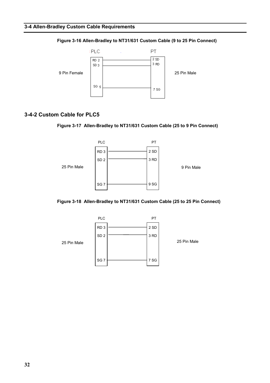

#### **Figure 3-16 Allen-Bradley to NT31/631 Custom Cable (9 to 25 Pin Connect)**

#### **3-4-2 Custom Cable for PLC5**

#### **Figure 3-17 Allen-Bradley to NT31/631 Custom Cable (25 to 9 Pin Connect)**



#### **Figure 3-18 Allen-Bradley to NT31/631 Custom Cable (25 to 25 Pin Connect)**

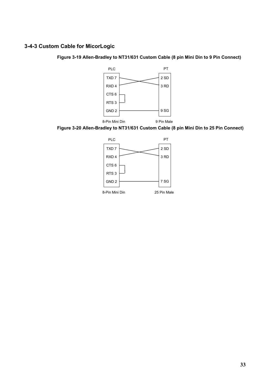### **3-4-3 Custom Cable for MicorLogic**

**Figure 3-19 Allen-Bradley to NT31/631 Custom Cable (8 pin Mini Din to 9 Pin Connect)**



**Figure 3-20 Allen-Bradley to NT31/631 Custom Cable (8 pin Mini Din to 25 Pin Connect)**

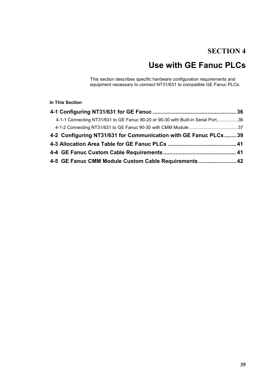### **SECTION 4**

# **Use with GE Fanuc PLCs**

This section describes specific hardware configuration requirements and equipment necessary to connect NT31/631 to compatible GE Fanuc PLCs.

#### **In This Section**

| 4-1-1 Connecting NT31/631 to GE Fanuc 90-20 or 90-30 with Built-in Serial Port36 |  |
|----------------------------------------------------------------------------------|--|
|                                                                                  |  |
| 4-2 Configuring NT31/631 for Communication with GE Fanuc PLCs 39                 |  |
|                                                                                  |  |
|                                                                                  |  |
| 4-5 GE Fanuc CMM Module Custom Cable Requirements 42                             |  |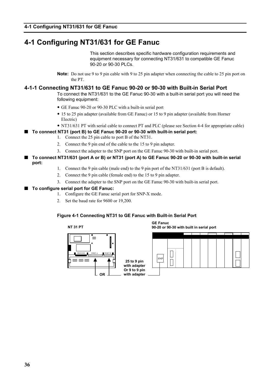### **4-1 Configuring NT31/631 for GE Fanuc**

This section describes specific hardware configuration requirements and equipment necessary for connecting NT31/631 to compatible GE Fanuc 90-20 or 90-30 PLCs.

**Note:** Do not use 9 to 9 pin cable with 9 to 25 pin adapter when connecting the cable to 25 pin port on the PT.

#### **4-1-1 Connecting NT31/631 to GE Fanuc 90-20 or 90-30 with Built-in Serial Port**

To connect the NT31/631 to the GE Fanuc 90-30 with a built-in serial port you will need the following equipment:

- y GE Fanuc 90-20 or 90-30 PLC with a built-in serial port
- 15 to 25 pin adapter (available from GE Fanuc) or 15 to 9 pin adapter (available from Horner Electric)
- NT31/631 PT with serial cable to connect PT and PLC (please see Section 4-4 for appropriate cable)

#### ■ To connect NT31 (port B) to GE Fanuc 90-20 or 90-30 with built-in serial port:

- 1. Connect the 25 pin cable to port B of the NT31.
- 2. Connect the 9 pin end of the cable to the 15 to 9 pin adapter.
- 3. Connect the adapter to the SNP port on the GE Fanuc 90-30 with built-in serial port.
- Q **To connect NT31/631 (port A or B) or NT31 (port A) to GE Fanuc 90-20 or 90-30 with built-in serial port:**
	- 1. Connect the 9 pin cable (male end) to the 9 pin port of the NT31/631 (port B is default).
	- 2. Connect the 9 pin cable (female end) to the 15 to 9 pin adapter.
	- 3. Connect the adapter to the SNP port on the GE Fanuc 90-30 with built-in serial port.

#### ■ To configure serial port for GE Fanuc:

- 1. Configure the GE Fanuc serial port for SNP-X mode.
- 2. Set the baud rate for 9600 or 19,200.

#### **Figure 4-1 Connecting NT31 to GE Fanuc with Built-in Serial Port**

**25 to 9 pin with adapter Or 9 to 9 pin with adapter**



**GE Fanuc 90-20 or 90-30 with built in serial port**

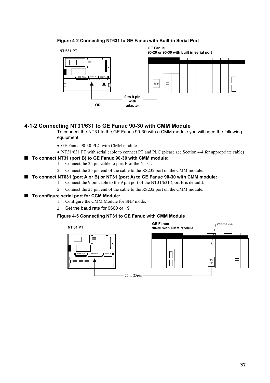#### **Figure 4-2 Connecting NT631 to GE Fanuc with Built-in Serial Port**



#### **4-1-2 Connecting NT31/631 to GE Fanuc 90-30 with CMM Module**

To connect the NT31 to the GE Fanuc 90-30 with a CMM module you will need the following equipment:

- GE Fanuc 90-30 PLC with CMM module
- NT31/631 PT with serial cable to connect PT and PLC (please see Section 4-4 for appropriate cable)
- To connect NT31 (port B) to GE Fanuc 90-30 with CMM module:
	- 1. Connect the 25 pin cable to port B of the NT31.
	- 2. Connect the 25 pin end of the cable to the RS232 port on the CMM module.
- To connect NT631 (port A or B) or NT31 (port A) to GE Fanuc 90-30 with CMM module:
	- 1. Connect the 9 pin cable to the 9 pin port of the NT31/631 (port B is default).
	- 2. Connect the 25 pin end of the cable to the RS232 port on the CMM module.

#### ■ To configure serial port for CCM Module:

- 1. Configure the CMM Module for SNP mode.
- 2. Set the baud rate for 9600 or 19

#### **Figure 4-5 Connecting NT31 to GE Fanuc with CMM Module**

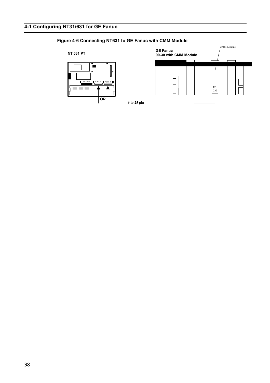### **Figure 4-6 Connecting NT631 to GE Fanuc with CMM Module**

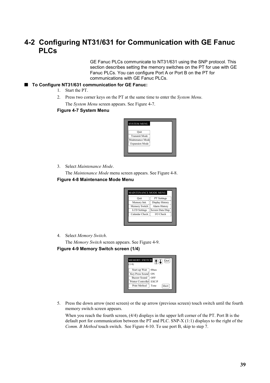### **4-2 Configuring NT31/631 for Communication with GE Fanuc PLCs**

GE Fanuc PLCs communicate to NT31/631 using the SNP protocol. This section describes setting the memory switches on the PT for use with GE Fanuc PLCs. You can configure Port A or Port B on the PT for communications with GE Fanuc PLCs.

#### ■ To Configure NT31/631 communication for GE Fanuc:

- 1. Start the PT.
- 2. Press two corner keys on the PT at the same time to enter the *System Menu*. The *System Menu* screen appears. See Figure 4-7.

#### **Figure 4-7 System Menu**

| Ouit                  |  |
|-----------------------|--|
| <b>Transmit Mode</b>  |  |
| Maintenance Mode      |  |
| <b>Expansion Mode</b> |  |

3. Select *Maintenance Mode*.

The *Maintenance Mode* menu screen appears. See Figure 4-8.

#### **Figure 4-8 Maintenance Mode Menu**

| Ouit                | PT Settings       |
|---------------------|-------------------|
| Memory Init.        | Display History   |
| Memory Switch       | Alarm History     |
| <b>LCD</b> Settings | Screen Data Disp. |
| Calendar Check      | I/O Check         |

4. Select *Memory Switch*.

The *Memory Switch* screen appears. See Figure 4-9. **Figure 4-9 Memory Switch screen (1/4)**



5. Press the down arrow (next screen) or the up arrow (previous screen) touch switch until the fourth memory switch screen appears.

When you reach the fourth screen, (4/4) displays in the upper left corner of the PT. Port B is the default port for communication between the PT and PLC. SNP-X (1:1) displays to the right of the *Comm. B Method* touch switch. See Figure 4-10. To use port B, skip to step 7.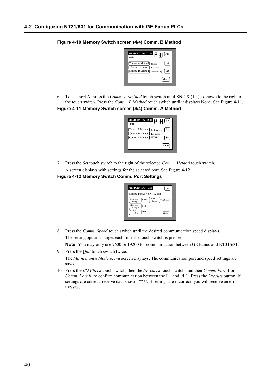#### **4-2 Configuring NT31/631 for Communication with GE Fanuc PLCs**

#### **MEMORY SWIT** im. A Meth Comm. B Select Comm. B Method NONE RS-232C  $SNP-X(1:1)$ (4/4) Abort Quit Set **Set**

#### **Figure 4-10 Memory Switch screen (4/4) Comm. B Method**

6. To use port A, press the *Comm. A Method* touch switch until SNP-X (1:1) is shown to the right of the touch switch. Press the *Comm. B Method* touch switch until it displays None. See Figure 4-11. **Figure 4-11 Memory Switch screen (4/4) Comm. A Method**



7. Press the *Set* touch switch to the right of the selected *Comm. Method* touch switch. A screen displays with settings for the selected port. See Figure 4-12.

#### **Figure 4-12 Memory Switch Comm. Port Settings**



8. Press the *Comm. Speed* touch switch until the desired communication speed displays. The setting option changes each time the touch switch is pressed.

**Note:** You may only use 9600 or 19200 for communication between GE Fanuc and NT31/631.

9. Press the *Quit* touch switch twice.

The *Maintenance Mode Menu* screen displays. The communication port and speed settings are saved.

10. Press the *I/O Check* touch switch, then the *I/F check* touch switch, and then *Comm. Port A* or *Comm. Port B*, to confirm communication between the PT and PLC. Press the *Execute* button. If settings are correct, receive data shows '\*\*\*'. If settings are incorrect, you will receive an error message.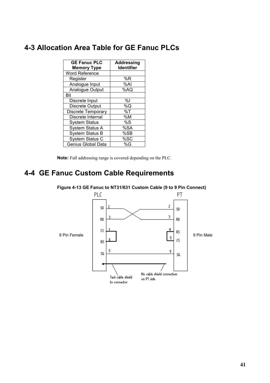### **4-3 Allocation Area Table for GE Fanuc PLCs**

| <b>GE Fanuc PLC</b>    | <b>Addressing</b> |
|------------------------|-------------------|
| <b>Memory Type</b>     | <b>Identifier</b> |
| <b>Word Reference</b>  |                   |
| Register               | %R                |
| Analogue Input         | %Al               |
| Analogue Output        | %AQ               |
| Bit                    |                   |
| Discrete Input         | %l                |
| <b>Discrete Output</b> | %Q                |
| Discrete Temporary     | %T                |
| Discrete Internal      | %M                |
| <b>System Status</b>   | %S                |
| <b>System Status A</b> | %SA               |
| <b>System Status B</b> | %SB               |
| System Status C        | %SC               |
| Genius Global Data     | %G                |

**Note:** Full addressing range is covered depending on the PLC.

### **4-4 GE Fanuc Custom Cable Requirements**



**Figure 4-13 GE Fanuc to NT31/631 Custom Cable (9 to 9 Pin Connect)**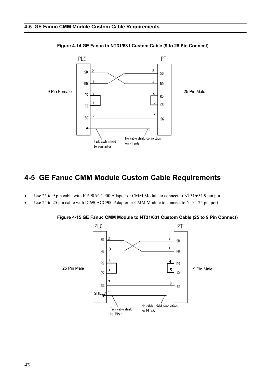

#### **Figure 4-14 GE Fanuc to NT31/631 Custom Cable (9 to 25 Pin Connect)**

### **4-5 GE Fanuc CMM Module Custom Cable Requirements**

- Use 25 to 9 pin cable with IC690ACC900 Adapter or CMM Module to connect to NT31/631 9 pin port
- Use 25 to 25 pin cable with IC690ACC900 Adapter or CMM Module to connect to NT31 25 pin port



**Figure 4-15 GE Fanuc CMM Module to NT31/631 Custom Cable (25 to 9 Pin Connect)**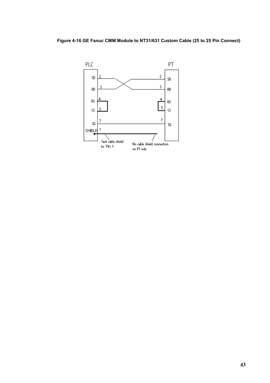**Figure 4-16 GE Fanuc CMM Module to NT31/631 Custom Cable (25 to 25 Pin Connect)**

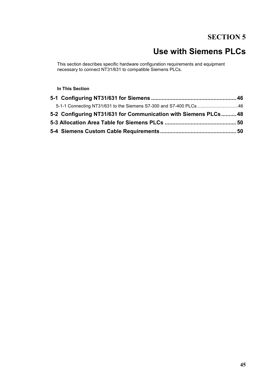### **SECTION 5**

# **Use with Siemens PLCs**

This section describes specific hardware configuration requirements and equipment necessary to connect NT31/631 to compatible Siemens PLCs.

#### **In This Section**

| 5-1-1 Connecting NT31/631 to the Siemens S7-300 and S7-400 PLCs46 |  |
|-------------------------------------------------------------------|--|
| 5-2 Configuring NT31/631 for Communication with Siemens PLCs 48   |  |
|                                                                   |  |
|                                                                   |  |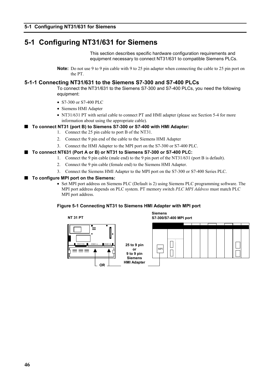### **5-1 Configuring NT31/631 for Siemens**

This section describes specific hardware configuration requirements and equipment necessary to connect NT31/631 to compatible Siemens PLCs.

**Note:** Do not use 9 to 9 pin cable with 9 to 25 pin adapter when connecting the cable to 25 pin port on the PT.

#### **5-1-1 Connecting NT31/631 to the Siemens S7-300 and S7-400 PLCs**

To connect the NT31/631 to the Siemens S7-300 and S7-400 PLCs, you need the following equipment:

- S7-300 or S7-400 PLC
- Siemens HMI Adapter
- NT31/631 PT with serial cable to connect PT and HMI adapter (please see Section 5-4 for more information about using the appropriate cable).

#### ■ To connect NT31 (port B) to Siemens S7-300 or S7-400 with HMI Adapter:

- 1. Connect the 25 pin cable to port B of the NT31.
	- 2. Connect the 9 pin end of the cable to the Siemens HMI Adapter
	- 3. Connect the HMI Adapter to the MPI port on the S7-300 or S7-400 PLC.

#### ■ To connect NT631 (Port A or B) or NT31 to Siemens S7-300 or S7-400 PLC:

- 1. Connect the 9 pin cable (male end) to the 9 pin port of the NT31/631 (port B is default).
	- 2. Connect the 9 pin cable (female end) to the Siemens HMI Adapter.
	- 3. Connect the Siemens HMI Adapter to the MPI port on the S7-300 or S7-400 Series PLC.

#### ■ To configure MPI port on the Siemens:

• Set MPI port address on Siemens PLC (Default is 2) using Siemens PLC programming software. The MPI port address depends on PLC system. PT memory switch *PLC MPI Address* must match PLC MPI port address.

#### **Figure 5-1 Connecting NT31 to Siemens HMI Adapter with MPI port**

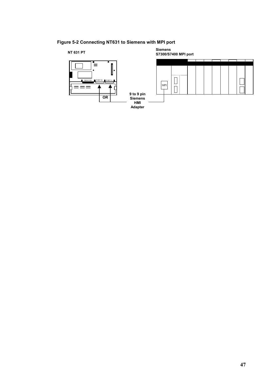#### **Figure 5-2 Connecting NT631 to Siemens with MPI port**

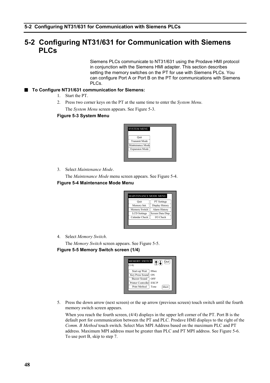### **5-2 Configuring NT31/631 for Communication with Siemens PLCs**

Siemens PLCs communicate to NT31/631 using the Prodave HMI protocol in conjunction with the Siemens HMI adapter. This section describes setting the memory switches on the PT for use with Siemens PLCs. You can configure Port A or Port B on the PT for communications with Siemens PLCs.

#### ■ To Configure NT31/631 communication for Siemens:

- 1. Start the PT.
- 2. Press two corner keys on the PT at the same time to enter the *System Menu*. The *System Menu* screen appears. See Figure 5-3.

#### **Figure 5-3 System Menu**



3. Select *Maintenance Mode*.

The *Maintenance Mode* menu screen appears. See Figure 5-4.

#### **Figure 5-4 Maintenance Mode Menu**

| Ouit                | PT Settings       |
|---------------------|-------------------|
| Memory Init.        | Display History   |
| Memory Switch       | Alarm History     |
| <b>LCD</b> Settings | Screen Data Disp. |
| Calendar Check      | I/O Check         |

4. Select *Memory Switch*.

The *Memory Switch* screen appears. See Figure 5-5. **Figure 5-5 Memory Switch screen (1/4)**

| <b>MEMORY SWITCH</b><br>AQ<br>Quit |
|------------------------------------|
|                                    |
| 00sec                              |
| Key Press Sound<br>ON              |
| OFF                                |
| Printer Controller<br>ESC/P        |
| Tone<br>Abort                      |
|                                    |

5. Press the down arrow (next screen) or the up arrow (previous screen) touch switch until the fourth memory switch screen appears.

When you reach the fourth screen, (4/4) displays in the upper left corner of the PT. Port B is the default port for communication between the PT and PLC. Prodave HMI displays to the right of the *Comm. B Method* touch switch. Select Max MPI Address based on the maximum PLC and PT address. Maximum MPI address must be greater than PLC and PT MPI address. See Figure 5-6. To use port B, skip to step 7.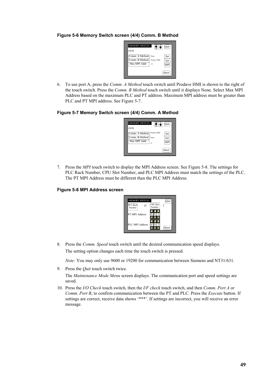#### **Figure 5-6 Memory Switch screen (4/4) Comm. B Method**



6. To use port A, press the *Comm. A Method* touch switch until Prodave HMI is shown to the right of the touch switch. Press the *Comm. B Method* touch switch until it displays None. Select Max MPI Address based on the maximum PLC and PT address. Maximum MPI address must be greater than PLC and PT MPI address. See Figure 5-7.

#### **Figure 5-7 Memory Switch screen (4/4) Comm. A Method**

| <memory switch=""><br/>HHT<br/>(4/4)</memory>                                 | Quit       |
|-------------------------------------------------------------------------------|------------|
| Prodave HMI<br>Comm. A Method<br>Comm. B Method<br>None<br>Max MPI Addr<br>١s | Set<br>Set |
|                                                                               | Abort      |

7. Press the *MPI* touch switch to display the MPI Address screen. See Figure 5-8. The settings for PLC Rack Number, CPU Slot Number, and PLC MPI Address must match the settings of the PLC. The PT MPI Address must be different than the PLC MPI Address.

#### **Figure 5-8 MPI Address screen**



8. Press the *Comm. Speed* touch switch until the desired communication speed displays. The setting option changes each time the touch switch is pressed.

*Note:* You may only use 9600 or 19200 for communication between Siemens and NT31/631.

9. Press the *Quit* touch switch twice.

The *Maintenance Mode Menu* screen displays. The communication port and speed settings are saved.

10. Press the *I/O Check* touch switch, then the *I/F check* touch switch, and then *Comm. Port A* or *Comm. Port B*, to confirm communication between the PT and PLC. Press the *Execute* button. If settings are correct, receive data shows '\*\*\*'. If settings are incorrect, you will receive an error message.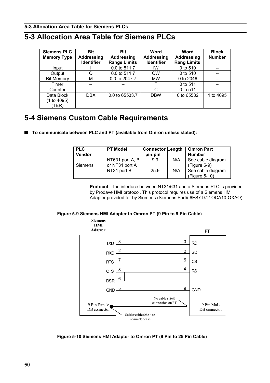#### **5-3 Allocation Area Table for Siemens PLCs**

### **5-3 Allocation Area Table for Siemens PLCs**

| <b>Siemens PLC</b><br><b>Memory Type</b> | <b>Bit</b><br><b>Addressing</b><br><b>Identifier</b> | <b>Bit</b><br><b>Addressing</b><br><b>Range Limits</b> | <b>Word</b><br>Addressing<br>Identifier | <b>Word</b><br><b>Addressing</b><br><b>Rang Limits</b> | <b>Block</b><br><b>Number</b> |
|------------------------------------------|------------------------------------------------------|--------------------------------------------------------|-----------------------------------------|--------------------------------------------------------|-------------------------------|
| Input                                    |                                                      | 0.0 to 511.7                                           | IW                                      | 0 to 510                                               |                               |
| Output                                   | Q                                                    | 0.0 to 511.7                                           | QW                                      | 0 to 510                                               |                               |
| <b>Bit Memory</b>                        | М                                                    | 0.0 to 2047.7                                          | <b>MW</b>                               | 0 to 2046                                              |                               |
| Timer                                    | --                                                   | --                                                     |                                         | 0 to 511                                               | --                            |
| Counter                                  | --                                                   | --                                                     | C                                       | 0 to 511                                               |                               |
| Data Block<br>(1 to 4095)<br>(TBR)       | DBX.                                                 | 0.0 to 65533.7                                         | <b>DBW</b>                              | 0 to 65532                                             | 1 to 4095                     |

### **5-4 Siemens Custom Cable Requirements**

■ To communicate between PLC and PT (available from Omron unless stated):

| <b>PLC</b><br>Vendor | <b>PT Model</b>                   | <b>Connector Length</b><br>pin:pin |     | <b>Omron Part</b><br><b>Number</b>  |
|----------------------|-----------------------------------|------------------------------------|-----|-------------------------------------|
| Siemens              | NT631 port A, B<br>or NT31 port A | 9:9                                | N/A | See cable diagram<br>$(Figure 5-9)$ |
|                      | NT31 port B                       | 25:9                               | N/A | See cable diagram<br>(Figure 5-10)  |

**Protocol** – the interface between NT31/631 and a Siemens PLC is provided by Prodave HMI protocol. This protocol requires use of a Siemens HMI Adapter provided for by Siemens (Siemens Part# 6ES7-972-OCA10-OXAO).

#### **Figure 5-9 Siemens HMI Adapter to Omron PT (9 Pin to 9 Pin Cable)**



**Figure 5-10 Siemens HMI Adapter to Omron PT (9 Pin to 25 Pin Cable)**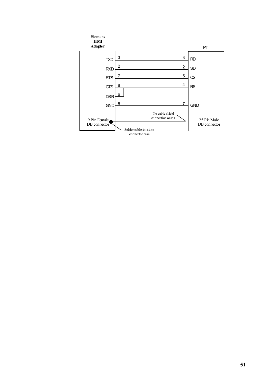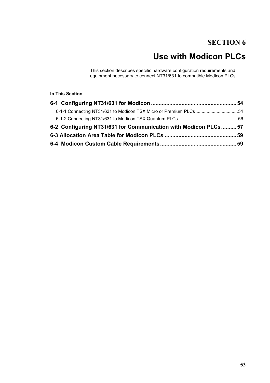## **SECTION 6**

# **Use with Modicon PLCs**

This section describes specific hardware configuration requirements and equipment necessary to connect NT31/631 to compatible Modicon PLCs.

#### **In This Section**

| 6-1-1 Connecting NT31/631 to Modicon TSX Micro or Premium PLCs54 |  |
|------------------------------------------------------------------|--|
|                                                                  |  |
| 6-2 Configuring NT31/631 for Communication with Modicon PLCs 57  |  |
|                                                                  |  |
|                                                                  |  |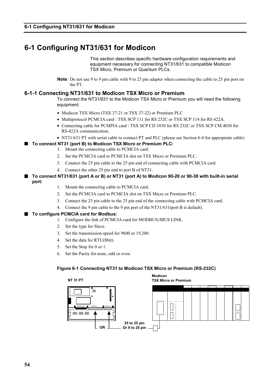### **6-1 Configuring NT31/631 for Modicon**

This section describes specific hardware configuration requirements and equipment necessary for connecting NT31/631 to compatible Modicon TSX Micro, Premium or Quantum PLCs.

**Note***:* Do not use 9 to 9 pin cable with 9 to 25 pin adapter when connecting the cable to 25 pin port on the PT.

#### **6-1-1 Connecting NT31/631 to Modicon TSX Micro or Premium**

To connect the NT31/631 to the Modicon TSX Micro or Premium you will need the following equipment:

- Modicon TSX Micro (TSX 37-21 or TSX 37-22) or Premium PLC
- Multiprotocol PCMCIA card : TSX SCP 111 for RS 232C or TSX SCP 114 for RS 422A.
- Connecting cable for PCMPIA card : TSX SCP CD 1030 for RS 232C or TSX SCP CM 4030 for RS-422A communication.
- NT31/631 PT with serial cable to connect PT and PLC (please see Section 6-4 for appropriate cable)

#### ■ To connect NT31 (port B) to Modicon TSX Micro or Premium PLC:

- 1. Mount the connecting cable to PCMCIA card.
- 2. Set the PCMCIA card to PCMCIA slot on TSX Micro or Premium PLC.
- 3. Connect the 25 pin cable to the 25 pin end of connecting cable with PCMCIA card.
- 4. Connect the other 25 pin end to port B of NT31.

#### ■ To connect NT31/631 (port A or B) or NT31 (port A) to Modicon 90-20 or 90-30 with built-in serial **port:**

- 1. Mount the connecting cable to PCMCIA card.
- 2. Set the PCMCIA card to PCMCIA slot on TSX Micro or Premium PLC.
- 3. Connect the 25 pin cable to the 25 pin end of the connecting cable with PCMCIA card.
- 4. Connect the 9 pin cable to the 9 pin port of the NT31/631(port B is default).

#### ■ To configure PCMCIA card for Modbus:

- 1. Configure the link of PCMCIA card for MODBUS/JBUS LINK.
- 2. Set the type for Slave.
- 3. Set the transmission speed for 9600 or 19,200.
- 4. Set the data for RTU(8bit).
- 5. Set the Stop for 0 or 1.
- 6. Set the Parity for none, odd or even.

#### **Figure 6-1 Connecting NT31 to Modicon TSX Micro or Premium (RS-232C)**

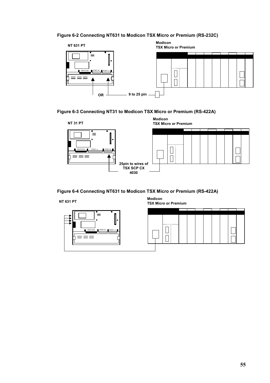#### **Figure 6-2 Connecting NT631 to Modicon TSX Micro or Premium (RS-232C)**







#### **Figure 6-4 Connecting NT631 to Modicon TSX Micro or Premium (RS-422A)**



**Modicon TSX Micro or Premium NT 631 PT**

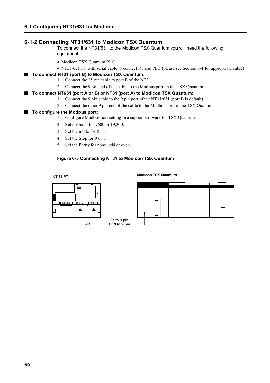#### **6-1-2 Connecting NT31/631 to Modicon TSX Quantum**

To connect the NT31/631 to the Modicon TSX Quantum you will need the following equipment:

- Modicon TSX Quantum PLC
- NT31/631 PT with serial cable to connect PT and PLC (please see Section 6-4 for appropriate cable)

#### ■ To connect NT31 (port B) to Modicon TSX Quantum:

- 1. Connect the 25 pin cable to port B of the NT31.
- 2. Connect the 9 pin end of the cable to the Modbus port on the TSX Quantum.

#### ■ To connect NT631 (port A or B) or NT31 (port A) to Modicon TSX Quantum:

- 1. Connect the 9 pin cable to the 9 pin port of the NT31/631 (port B is default).
- 2. Connect the other 9 pin end of the cable to the Modbus port on the TSX Quantum.

#### ■ To configure the Modbus port:

- 1. Configure Modbus port setting in a support software for TSX Quantum.
- 2. Set the baud for 9600 or 19,200.
- 3. Set the mode for RTU.
- 4. Set the Stop for 0 or 1.
- 5. Set the Parity for none, odd or even

#### **Figure 6-5 Connecting NT31 to Modicon TSX Quantum**

#### **NT 31 PT**

**Modicon TSX Quantum**

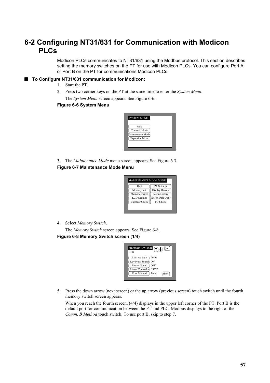### **6-2 Configuring NT31/631 for Communication with Modicon PLCs**

Modicon PLCs communicates to NT31/631 using the Modbus protocol. This section describes setting the memory switches on the PT for use with Modicon PLCs. You can configure Port A or Port B on the PT for communications Modicon PLCs.

#### ■ To Configure NT31/631 communication for Modicon:

- 1. Start the PT.
- 2. Press two corner keys on the PT at the same time to enter the *System Menu*. The *System Menu* screen appears. See Figure 6-6.

#### **Figure 6-6 System Menu**



3. The *Maintenance Mode* menu screen appears. See Figure 6-7.

#### **Figure 6-7 Maintenance Mode Menu**

| Ouit                | <b>PT</b> Settings |
|---------------------|--------------------|
| Memory Init.        | Display History    |
| Memory Switch       | Alarm History      |
| <b>LCD</b> Settings | Screen Data Disp.  |
| Calendar Check      | I/O Check          |

4. Select *Memory Switch*.

The *Memory Switch* screen appears. See Figure 6-8. **Figure 6-8 Memory Switch screen (1/4)**

| <b>MEMORY SWITCH</b><br>(1/4) | AIT<br>Quit  |
|-------------------------------|--------------|
| Start-up Wait                 | 00sec        |
| Key Press Sound               | ON           |
| <b>Buzzer Sound</b>           | OFF          |
| Printer Controller            | ESC/P        |
| Print Method                  | Tone<br>bort |

5. Press the down arrow (next screen) or the up arrow (previous screen) touch switch until the fourth memory switch screen appears.

When you reach the fourth screen, (4/4) displays in the upper left corner of the PT. Port B is the default port for communication between the PT and PLC. Modbus displays to the right of the *Comm. B Method* touch switch. To use port B, skip to step 7.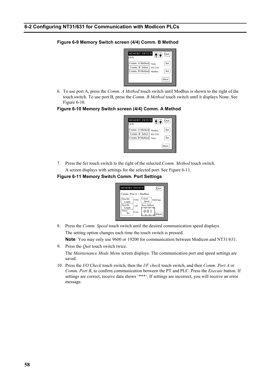#### **Figure 6-9 Memory Switch screen (4/4) Comm. B Method**



6. To use port A, press the *Comm. A Method* touch switch until Modbus is shown to the right of the touch switch. To use port B, press the *Comm. B Method* touch switch until it displays None. See Figure 6-10.

#### **Figure 6-10 Memory Switch screen (4/4) Comm. A Method**

| <b>MEMORY SWITCH</b><br>(4/4)                      | $\bigcap$                        | Quit       |
|----------------------------------------------------|----------------------------------|------------|
| Comm. A Method<br>Comm. B Select<br>Comm. B Method | Modbus<br><b>RS-232C</b><br>None | Set<br>Set |
|                                                    |                                  | Abort      |

7. Press the *Set* touch switch to the right of the selected *Comm. Method* touch switch. A screen displays with settings for the selected port. See Figure 6-11.

#### **Figure 6-11 Memory Switch Comm. Port Settings**



8. Press the *Comm. Speed* touch switch until the desired communication speed displays. The setting option changes each time the touch switch is pressed.

**Note***:* You may only use 9600 or 19200 for communication between Modicon and NT31/631.

9. Press the *Quit* touch switch twice.

The *Maintenance Mode Menu* screen displays. The communication port and speed settings are saved.

10. Press the *I/O Check* touch switch, then the *I/F check* touch switch, and then *Comm. Port A* or *Comm. Port B*, to confirm communication between the PT and PLC. Press the *Execute* button. If settings are correct, receive data shows '\*\*\*'. If settings are incorrect, you will receive an error message.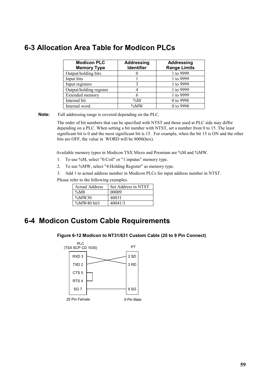### **6-3 Allocation Area Table for Modicon PLCs**

| <b>Modicon PLC</b><br><b>Memory Type</b> | <b>Addressing</b><br><b>Identifier</b> | <b>Addressing</b><br><b>Range Limits</b> |
|------------------------------------------|----------------------------------------|------------------------------------------|
| Output/holding bits                      |                                        | 1 to 9999                                |
| Input bits                               |                                        | 1 to 9999                                |
| Input registers                          |                                        | 1 to 9999                                |
| Output/holding register                  |                                        | 1 to 9999                                |
| Extended memory                          |                                        | 1 to 9999                                |
| Internal bit                             | $\%M$                                  | 0 to 9998                                |
| Internal word                            | $\%MW$                                 | 0 to 9998                                |

**Note:** Full addressing range is covered depending on the PLC.

The order of bit numbers that can be specified with NTST and those used at PLC side may differ depending on a PLC. When setting a bit number with NTST, set a number from 0 to 15. The least significant bit is 0 and the most significant bit is 15. For example, when the bit 15 is ON and the other bits are OFF, the value in WORD will be 8000(hex).

Available memory types in Modicon TSX Micro and Premium are %M and %MW.

- 1. To use %M, select "0:Coil" or "1:inputas" memory type.
- 2. To use %MW, select "4:Holding Register" as memory type.
- 3. Add 1 to actual address number in Modicon PLCs for input address number in NTST.

Please refer to the following examples.

| <b>Actual Address</b> | Set Address in NTST |
|-----------------------|---------------------|
| $\%M8$                | 00009               |
| $\%MW30$              | 40031               |
| $\%$ MW40 bit3        | 40041/3             |

### **6-4 Modicon Custom Cable Requirements**

#### **Figure 6-12 Modicon to NT31/631 Custom Cable (25 to 9 Pin Connect)**

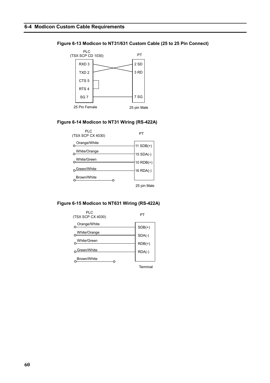#### **Figure 6-13 Modicon to NT31/631 Custom Cable (25 to 25 Pin Connect)**



#### **Figure 6-14 Modicon to NT31 Wiring (RS-422A)**



#### **Figure 6-15 Modicon to NT631 Wiring (RS-422A)**



**Terminal**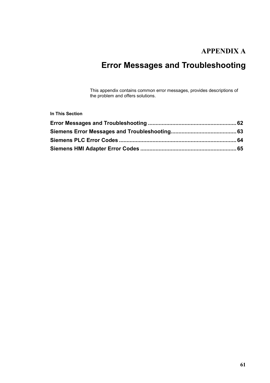## **APPENDIX A**

# **Error Messages and Troubleshooting**

This appendix contains common error messages, provides descriptions of the problem and offers solutions.

**In This Section**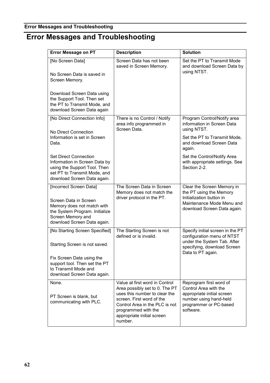### **Error Messages and Troubleshooting**

# **Error Messages and Troubleshooting**

| <b>Error Message on PT</b>                                                                                                                                           | <b>Description</b>                                                                                                                                                                                                               | <b>Solution</b>                                                                                                                                   |
|----------------------------------------------------------------------------------------------------------------------------------------------------------------------|----------------------------------------------------------------------------------------------------------------------------------------------------------------------------------------------------------------------------------|---------------------------------------------------------------------------------------------------------------------------------------------------|
| [No Screen Data]<br>No Screen Data is saved in<br>Screen Memory.                                                                                                     | Screen Data has not been<br>saved in Screen Memory.                                                                                                                                                                              | Set the PT to Transmit Mode<br>and download Screen Data by<br>using NTST.                                                                         |
| Download Screen Data using<br>the Support Tool. Then set<br>the PT to Transmit Mode, and<br>download Screen Data again                                               |                                                                                                                                                                                                                                  |                                                                                                                                                   |
| [No Direct Connection Info]<br>No Direct Connection                                                                                                                  | There is no Control / Notify<br>area info programmed in<br>Screen Data.                                                                                                                                                          | Program Control/Notify area<br>information in Screen Data<br>using NTST.                                                                          |
| Information is set in Screen<br>Data.                                                                                                                                |                                                                                                                                                                                                                                  | Set the PT to Transmit Mode,<br>and download Screen Data<br>again.                                                                                |
| <b>Set Direct Connection</b><br>Information in Screen Data by<br>using the Support Tool. Then<br>set PT to Transmit Mode, and<br>download Screen Data again.         |                                                                                                                                                                                                                                  | Set the Control/Notify Area<br>with appropriate settings. See<br>Section 2-2.                                                                     |
| [Incorrect Screen Data]<br>Screen Data in Screen<br>Memory does not match with<br>the System Program. Initialize<br>Screen Memory and<br>download Screen Data again. | The Screen Data in Screen<br>Memory does not match the<br>driver protocol in the PT.                                                                                                                                             | Clear the Screen Memory in<br>the PT using the Memory<br>Initialization button in<br>Maintenance Mode Menu and<br>download Screen Data again.     |
| [No Starting Screen Specified]<br>Starting Screen is not saved.                                                                                                      | The Starting Screen is not<br>defined or is invalid.                                                                                                                                                                             | Specify initial screen in the PT<br>configuration menu of NTST<br>under the System Tab. After<br>specifying, download Screen<br>Data to PT again. |
| Fix Screen Data using the<br>support tool. Then set the PT<br>to Transmit Mode and<br>download Screen Data again.                                                    |                                                                                                                                                                                                                                  |                                                                                                                                                   |
| None.<br>PT Screen is blank, but<br>communicating with PLC.                                                                                                          | Value at first word in Control<br>Area possibly set to 0. The PT<br>uses this number to clear the<br>screen. First word of the<br>Control Area in the PLC is not<br>programmed with the<br>appropriate initial screen<br>number. | Reprogram first word of<br>Control Area with the<br>appropriate initial screen<br>number using hand-held<br>programmer or PC-based<br>software.   |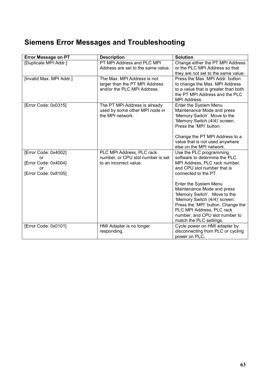# **Siemens Error Messages and Troubleshooting**

| <b>Error Message on PT</b> | <b>Description</b>                      | <b>Solution</b>                                                        |
|----------------------------|-----------------------------------------|------------------------------------------------------------------------|
| [Duplicate MPI Addr.]      | PT MPI Address and PLC MPI              | Change either the PT MPI Address                                       |
|                            | Address are set to the same value.      | or the PLC MPI Address so that                                         |
|                            |                                         | they are not set to the same value.                                    |
| [Invalid Max. MPI Addr.]   | The Max. MPI Address is not             | Press the Max. MPI Addr. button                                        |
|                            | larger than the PT MPI Address          | to change the Max. MPI Address                                         |
|                            | and/or the PLC MPI Address.             | to a value that is greater than both<br>the PT MPI Address and the PLC |
|                            |                                         | MPI Address.                                                           |
| [Error Code: 0x0315]       | The PT MPI Address is already           | Enter the System Menu                                                  |
|                            | used by some other MPI node in          | Maintenance Mode and press                                             |
|                            | the MPI network.                        | 'Memory Switch'. Move to the                                           |
|                            |                                         | 'Memory Switch (4/4)' screen.                                          |
|                            |                                         | Press the 'MPI' button.                                                |
|                            |                                         | Change the PT MPI Address to a                                         |
|                            |                                         | value that is not used anywhere                                        |
|                            |                                         | else on the MPI network.                                               |
| [Error Code: 0x4002]       | PLC MPI Address, PLC rack               | Use the PLC programming                                                |
| or                         | number, or CPU slot number is set       | software to determine the PLC                                          |
| [Error Code: 0x4004]       | to an incorrect value.                  | MPI Address, PLC rack number,                                          |
| or                         |                                         | and CPU slot number that is                                            |
| [Error Code: 0x8105]       |                                         | connected to the PT.                                                   |
|                            |                                         | Enter the System Menu                                                  |
|                            |                                         | Maintenance Mode and press                                             |
|                            |                                         | 'Memory Switch'. Move to the                                           |
|                            |                                         | 'Memory Switch (4/4)' screen.                                          |
|                            |                                         | Press the 'MPI' button. Change the                                     |
|                            |                                         | PLC MPI Address, PLC rack                                              |
|                            |                                         | number, and CPU slot number to                                         |
|                            |                                         | match the PLC settings.                                                |
| [Error Code: 0x0101]       | HMI Adapter is no longer<br>responding. | Cycle power on HMI adapter by<br>disconnecting from PLC or cycling     |
|                            |                                         | power on PLC.                                                          |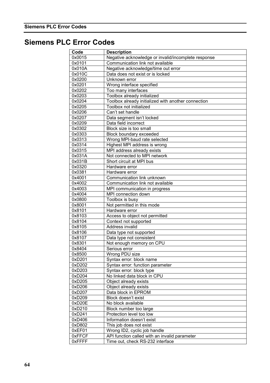## **Siemens PLC Error Codes**

| Code   | <b>Description</b>                                  |
|--------|-----------------------------------------------------|
| 0x0015 | Negative acknowledge or invalid/incomplete response |
| 0x0101 | Communication link not available                    |
| 0x010A | Negative acknowledge/time out error                 |
| 0x010C | Data does not exist or is locked                    |
| 0x0200 | Unknown error                                       |
| 0x0201 | Wrong interface specified                           |
| 0x0202 | Too many interfaces                                 |
| 0x0203 | Toolbox already initialized                         |
| 0x0204 | Toolbox already initialized with another connection |
| 0x0205 | Toolbox not initialized                             |
| 0x0206 | Can't set handle                                    |
|        |                                                     |
| 0x0207 | Data segment isn't locked<br>Data field incorrect   |
| 0x0209 |                                                     |
| 0x0302 | Block size is too small                             |
| 0x0303 | Block boundary exceeded                             |
| 0x0313 | Wrong MPI-baud rate selected                        |
| 0x0314 | Highest MPI address is wrong                        |
| 0x0315 | MPI address already exists                          |
| 0x031A | Not connected to MPI network                        |
| 0x031B | Short circuit at MPI bus                            |
| 0x0320 | Hardware error                                      |
| 0x0381 | Hardware error                                      |
| 0x4001 | Communication link unknown                          |
| 0x4002 | Communication link not available                    |
| 0x4003 | MPI communication in progress                       |
| 0x4004 | MPI connection down                                 |
| 0x0800 | Toolbox is busy                                     |
| 0x8001 | Not permitted in this mode                          |
| 0x8101 | Hardware error                                      |
| 0x8103 | Access to object not permitted                      |
| 0x8104 | Context not supported                               |
| 0x8105 | Address invalid                                     |
| 0x8106 | Data type not supported                             |
| 0x8107 | Data type not consistent                            |
| 0x8301 | Not enough memory on CPU                            |
| 0x8404 | Serious error                                       |
| 0x8500 | Wrong PDU size                                      |
| 0xD201 | Syntax error: block name                            |
| 0xD202 | Syntax error: function parameter                    |
| 0xD203 | Syntax error: block type                            |
| 0xD204 | No linked data block in CPU                         |
| 0xD205 | Object already exists                               |
| 0xD206 | Object already exists                               |
| 0xD207 | Data block in EPROM                                 |
| 0xD209 | Block doesn't exist                                 |
| 0xD20E | No block available                                  |
| 0xD210 | Block number too large                              |
| 0xD241 | Protection level too low                            |
| 0xD406 | Information doesn't exist                           |
| 0xD802 | This job does not exist                             |
| 0xEF01 | Wrong ID2, cyclic job handle                        |
| 0xFFCF | API function called with an invalid parameter       |
| 0xFFFF | Time out, check RS-232 interface                    |
|        |                                                     |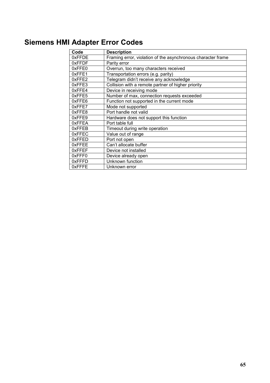# **Siemens HMI Adapter Error Codes**

| Code         | <b>Description</b>                                           |
|--------------|--------------------------------------------------------------|
| 0xFFDE       | Framing error, violation of the asynchronous character frame |
| 0xFFDF       | Parity error                                                 |
| 0xFFE0       | Overrun, too many characters received                        |
| 0xFFE1       | Transportation errors (e.g. parity)                          |
| 0xFFE2       | Telegram didn't receive any acknowledge                      |
| 0xFFE3       | Collision with a remote partner of higher priority           |
| 0xFFE4       | Device in receiving mode                                     |
| 0xFFE5       | Number of max, connection requests exceeded                  |
| 0xFFE6       | Function not supported in the current mode                   |
| 0xFFE7       | Mode not supported                                           |
| 0xFFE8       | Port handle not valid                                        |
| $0x$ FFE $9$ | Hardware does not support this function                      |
| 0xFFEA       | Port table full                                              |
| 0xFFEB       | Timeout during write operation                               |
| 0xFFEC       | Value out of range                                           |
| 0xFFED       | Port not open                                                |
| 0xFFEE       | Can't allocate buffer                                        |
| 0xFFEF       | Device not installed                                         |
| 0xFFF0       | Device already open                                          |
| 0xFFFD       | Unknown function                                             |
| 0xFFFE       | Unknown error                                                |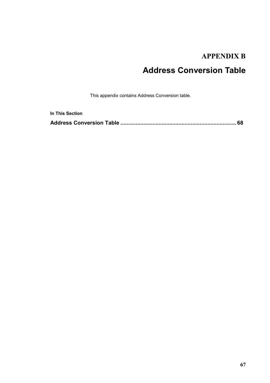## **APPENDIX B**

# **Address Conversion Table**

This appendix contains Address Conversion table.

| <b>In This Section</b> |  |
|------------------------|--|
|                        |  |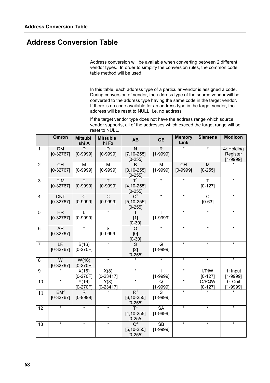## **Address Conversion Table**

Address conversion will be available when converting between 2 different vendor types. In order to simplify the conversion rules, the common code table method will be used.

In this table, each address type of a particular vendor is assigned a code. During conversion of vendor, the address type of the source vendor will be converted to the address type having the same code in the target vendor. If there is no code available for an address type in the target vendor, the address will be reset to NULL, i.e. no address

If the target vendor type does not have the address range which source vendor supports, all of the addresses which exceed the target range will be reset to NULL.

|                | Omron                          | <b>Mitsubi</b><br>shi A      | <b>Mitsubis</b><br>hi Fx       | <b>AB</b>                                         | <b>GE</b>                    | <b>Memory</b><br>Link     | <b>Siemens</b>             | <b>Modicon</b>                         |
|----------------|--------------------------------|------------------------------|--------------------------------|---------------------------------------------------|------------------------------|---------------------------|----------------------------|----------------------------------------|
| $\mathbf{1}$   | <b>DM</b><br>$[0-32767]$       | D<br>$[0 - 9999]$            | D<br>$[0 - 9999]$              | N<br>$[7, 10 - 255]$<br>$[0 - 255]$               | $\mathsf{R}$<br>$[1 - 9999]$ |                           |                            | 4: Holding<br>Register<br>$[1 - 9999]$ |
| $\overline{2}$ | <b>CH</b><br>$[0-32767]$       | M<br>$[0-9999]$              | M<br>$[0 - 9999]$              | <sub>R</sub><br>$[3, 10 - 255]$<br>$[0 - 255]$    | M<br>$[1 - 9999]$            | <b>CH</b><br>$[0 - 9999]$ | M<br>$[0-255]$             |                                        |
| 3              | <b>TIM</b><br>$[0-32767]$      | т<br>$[0-9999]$              | Τ<br>$[0 - 9999]$              | $\mathsf{T}^1$<br>$[4, 10 - 255]$<br>$[0-255]$    | $\star$                      | $^\star$                  | т<br>$[0-127]$             | $\star$                                |
| $\overline{4}$ | <b>CNT</b><br>$[0-32767]$      | $\mathsf{C}$<br>$[0 - 9999]$ | $\mathsf{C}$<br>$[0 - 9999]$   | $[5, 10 - 255]$<br>$[0-255]$                      | $\star$                      | $\star$                   | $\mathsf{C}$<br>$[0 - 63]$ | $\star$                                |
| 5              | <b>HR</b><br>$[0-32767]$       | $[0 - 9999]$                 | $\star$                        | $[1]$<br>$[0-30]$                                 | т<br>$[1 - 9999]$            | $\star$                   | $\star$                    | $\star$                                |
| $6\phantom{1}$ | <b>AR</b><br>$[0-32767]$       | $\star$                      | $\overline{S}$<br>$[0 - 9999]$ | O<br>[0]<br>$[0-30]$                              | $\star$                      | $\star$                   | $\star$                    | $\star$                                |
| $\overline{7}$ | <b>LR</b><br>$[0-32767]$       | B(16)<br>$[0-270F]$          | $\star$                        | S<br>$[2]$<br>$[0-255]$                           | G<br>$[1 - 9999]$            | $\star$                   | $\star$                    | $\star$                                |
| 8              | W<br>$[0-32767]$               | W(16)<br>$[0-270F]$          | $\star$                        |                                                   | $\star$                      | $\star$                   | $\star$                    | $\star$                                |
| 9              |                                | X(16)<br>$[0-270F]$          | X(8)<br>$[0-23417]$            | $\star$                                           | L<br>$[1 - 9999]$            | $\star$                   | I/PIW<br>$[0 - 127]$       | 1: Input<br>$[1 - 9999]$               |
| 10             | $\star$                        | Y(16)<br>$[0-270F]$          | Y(8)<br>$[0-23417]$            | $\star$                                           | Q<br>$[1 - 9999]$            | $\star$                   | Q/PQW<br>$[0-127]$         | 0: Coil<br>[1-9999]                    |
| 11             | EM <sup>3</sup><br>$[0-32767]$ | R.<br>$[0 - 9999]$           |                                | $R^1$<br>$[6, 10 - 255]$<br>$[0 - 255]$           | S<br>$[1 - 9999]$            | $\star$                   | $\star$                    | ¥                                      |
| 12             | *                              | $\star$                      | $\star$                        | $T^2$<br>$[4, 10 - 255]$<br>$\frac{[0-255]}{C^2}$ | <b>SA</b><br>$[1 - 9999]$    | $\star$                   | $\star$                    | $\star$                                |
| 13             | $\star$                        | $\star$                      | $\star$                        | $[5, 10 - 255]$<br>$[0-255]$                      | <b>SB</b><br>$[1 - 9999]$    | $\star$                   | $\star$                    | $\star$                                |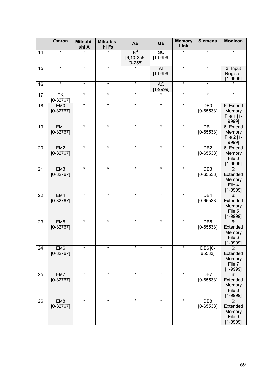|                 | <b>Omron</b>                            | <b>Mitsubi</b><br>shi A | <b>Mitsubis</b><br>hi Fx | <b>AB</b>                               | <b>GE</b>                       | <b>Memory</b><br>Link | <b>Siemens</b>                   | <b>Modicon</b>                                     |
|-----------------|-----------------------------------------|-------------------------|--------------------------|-----------------------------------------|---------------------------------|-----------------------|----------------------------------|----------------------------------------------------|
| 14              | $\star$                                 |                         |                          | $R^2$<br>$[6, 10 - 255]$<br>$[0 - 255]$ | $\overline{SC}$<br>$[1 - 9999]$ | $\star$               | $\star$                          | $\star$                                            |
| 15              | $\star$                                 | $\star$                 | $\star$                  |                                         | AI<br>$[1 - 9999]$              | $\star$               | $\star$                          | 3: Input<br>Register<br>$[1 - 9999]$               |
| 16              | $\star$                                 | $\star$                 | $\star$                  | $\star$                                 | AQ<br>$[1 - 9999]$              | $\star$               | $\star$                          |                                                    |
| $\overline{17}$ | $\overline{\mathsf{TK}}$<br>$[0-32767]$ | $\star$                 | $\star$                  | $\star$                                 |                                 | $\star$               | $\star$                          | $\star$                                            |
| 18              | EM <sub>0</sub><br>$[0-32767]$          | $\star$                 | $\star$                  | $\star$                                 | $\star$                         | $\star$               | DB <sub>0</sub><br>$[0 - 65533]$ | 6: Extend<br>Memory<br>File 1 [1-<br>9999]         |
| 19              | EM <sub>1</sub><br>$[0-32767]$          | $\star$                 | $\star$                  | $\star$                                 | $\star$                         | $\star$               | DB1<br>$[0 - 65533]$             | 6: Extend<br>Memory<br>File 2 [1-<br>9999]         |
| 20              | EM <sub>2</sub><br>$[0-32767]$          | $\star$                 | $\star$                  | $\star$                                 | $\star$                         | $\star$               | DB <sub>2</sub><br>$[0 - 65533]$ | 6: Extend<br>Memory<br>File 3<br>$[1 - 9999]$      |
| 21              | EM <sub>3</sub><br>$[0-32767]$          | $\star$                 | $\star$                  | $\star$                                 | $\star$                         | $\star$               | DB <sub>3</sub><br>$[0 - 65533]$ | 6:<br>Extended<br>Memory<br>File 4<br>$[1 - 9999]$ |
| 22              | EM4<br>$[0-32767]$                      | $\star$                 | $\star$                  | $\star$                                 | $\star$                         | $\star$               | DB4<br>$[0 - 65533]$             | 6:<br>Extended<br>Memory<br>File 5<br>$[1 - 9999]$ |
| 23              | EM <sub>5</sub><br>$[0-32767]$          | $\star$                 | $\star$                  | $\star$                                 | $\star$                         | $\star$               | DB5<br>$[0 - 65533]$             | 6:<br>Extended<br>Memory<br>File 6<br>[1-9999]     |
| 24              | EM6<br>$[0-32767]$                      | $\star$                 | $\star$                  | $\star$                                 | $\star$                         | $\star$               | DB6 [0-<br>65533]                | 6:<br>Extended<br>Memory<br>File 7<br>$[1 - 9999]$ |
| 25              | EM7<br>$[0-32767]$                      | $\star$                 | $\star$                  | $\star$                                 | $\star$                         | $\star$               | DB7<br>$[0 - 65533]$             | 6:<br>Extended<br>Memory<br>File 8<br>$[1 - 9999]$ |
| 26              | EM <sub>8</sub><br>$[0-32767]$          | $\star$                 | $\star$                  | $\star$                                 | $\star$                         | $\star$               | DB8<br>$[0 - 65533]$             | 6:<br>Extended<br>Memory<br>File 9<br>$[1 - 9999]$ |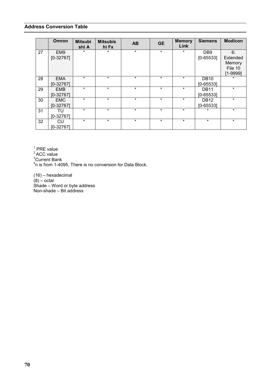#### **Address Conversion Table**

|    | <b>Omron</b> | <b>Mitsubi</b><br>shi A | <b>Mitsubis</b><br>hi Fx | <b>AB</b> | <b>GE</b> | <b>Memory</b><br>Link | <b>Siemens</b>   | <b>Modicon</b> |
|----|--------------|-------------------------|--------------------------|-----------|-----------|-----------------------|------------------|----------------|
| 27 | EM9          | $\star$                 | $\star$                  | $\star$   | $\star$   | $\star$               | DB <sub>9</sub>  | 6:             |
|    | $[0-32767]$  |                         |                          |           |           |                       | $[0 - 65533]$    | Extended       |
|    |              |                         |                          |           |           |                       |                  | Memory         |
|    |              |                         |                          |           |           |                       |                  | File 10        |
|    |              |                         |                          |           |           |                       |                  | $[1 - 9999]$   |
| 28 | <b>EMA</b>   | $\star$                 | $\star$                  | $\star$   | $\star$   | $\star$               | <b>DB10</b>      | $\ast$         |
|    | $[0-32767]$  |                         |                          |           |           |                       | $[0 - 65533]$    |                |
| 29 | <b>EMB</b>   | $\star$                 | $\star$                  | $\star$   | $\star$   | $\star$               | <b>DB11</b>      | $\star$        |
|    | $[0-32767]$  |                         |                          |           |           |                       | $[0 - 65533]$    |                |
| 30 | <b>EMC</b>   | $\star$                 | $\star$                  | $\star$   | $\star$   | $\star$               | DB <sub>12</sub> | $\star$        |
|    | $[0-32767]$  |                         |                          |           |           |                       | $[0 - 65533]$    |                |
| 31 | TU           | $\star$                 | $\star$                  | $\star$   | $\star$   | $\star$               | $\star$          | $\star$        |
|    | $[0-32767]$  |                         |                          |           |           |                       |                  |                |
| 32 | <b>CU</b>    | $\star$                 | $\star$                  | $\star$   | $\star$   | $\star$               | $\star$          | $\star$        |
|    | $[0-32767]$  |                         |                          |           |           |                       |                  |                |

 $1$  PRE value

<sup>2</sup> ACC value<br><sup>3</sup>Current Bank

 $4$ n is from 1-4095. There is no conversion for Data Block.

(16) – hexadecimal (8) – octal Shade – Word or byte address Non-shade – Bit address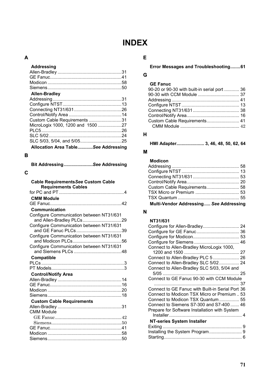# **INDEX**

#### **A**

#### **Addressing**

| <b>Allen-Bradley</b>                |  |
|-------------------------------------|--|
|                                     |  |
|                                     |  |
|                                     |  |
|                                     |  |
| Custom Cable Requirements 31        |  |
| MicroLogix 1000, 1200 and 150027    |  |
|                                     |  |
|                                     |  |
|                                     |  |
| Allocation Area TableSee Addressing |  |

#### **B**

| Bit AddressingSee Addressing |  |
|------------------------------|--|
|                              |  |

## **C**

| <b>Cable Requirements See Custom Cable</b> |
|--------------------------------------------|
| <b>Requirements Cables</b>                 |
|                                            |
| <b>CMM Module</b>                          |
|                                            |
| Communication                              |
| Configure Communication between NT31/631   |
|                                            |
| Configure Communication between NT31/631   |
|                                            |
| Configure Communication between NT31/631   |
|                                            |
| Configure Communication between NT31/631   |
|                                            |
| Compatible                                 |
|                                            |
|                                            |
| <b>Control/Notify Area</b>                 |
|                                            |
|                                            |
|                                            |
|                                            |
| <b>Custom Cable Requirements</b>           |
|                                            |
| <b>CMM Module</b>                          |
|                                            |
|                                            |
|                                            |
|                                            |
|                                            |

### **E**

#### **Error Messages and Troubleshooting........61**

#### **G**

| 90-20 or 90-30 with built-in serial port  36 |  |
|----------------------------------------------|--|
|                                              |  |
|                                              |  |
|                                              |  |
|                                              |  |
|                                              |  |
| Custom Cable Requirements 41                 |  |
|                                              |  |
|                                              |  |

#### **H**

**HMI Adapter...................... 3, 46, 48, 50, 62, 64**

#### **M**

#### **Modicon**

| Custom Cable Requirements 58           |  |
|----------------------------------------|--|
|                                        |  |
|                                        |  |
| Multi-Vendor Addressing See Addressing |  |

#### **N**

| NT31/631                                         |  |
|--------------------------------------------------|--|
| Configure for Allen-Bradley 24                   |  |
|                                                  |  |
|                                                  |  |
|                                                  |  |
| Connect to Allen-Bradley MicroLogix 1000,        |  |
|                                                  |  |
| Connect to Allen-Bradley PLC 5 26                |  |
| Connect to Allen-Bradley SLC 5/02 24             |  |
| Connect to Allen-Bradley SLC 5/03, 5/04 and      |  |
|                                                  |  |
| Connect to GE Fanuc 90-30 with CCM Module        |  |
|                                                  |  |
| Connect to GE Fanuc with Built-in Serial Port 36 |  |
|                                                  |  |
| Connect to Modicon TSX Micro or Premium  53      |  |
| Connect to Modicon TSX Quantum 55                |  |
| Connect to Siemens S7-300 and S7-400  46         |  |
| Prepare for Software Installation with System    |  |
|                                                  |  |
| NT-series System Installer                       |  |
|                                                  |  |
|                                                  |  |
|                                                  |  |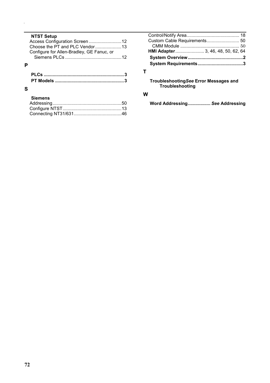#### **NTST Setup**

| Choose the PT and PLC Vendor13            |  |
|-------------------------------------------|--|
| Configure for Allen-Bradley, GE Fanuc, or |  |
|                                           |  |
|                                           |  |

### **P**

#### **S**

#### **Siemens**

| HMI Adapter 3, 46, 48, 50, 62, 64 |
|-----------------------------------|
|                                   |
|                                   |
|                                   |

## **T**

**Troubleshooting***See* **Error Messages and Troubleshooting**

#### **W**

**Word Addressing..................** *See* **Addressing**